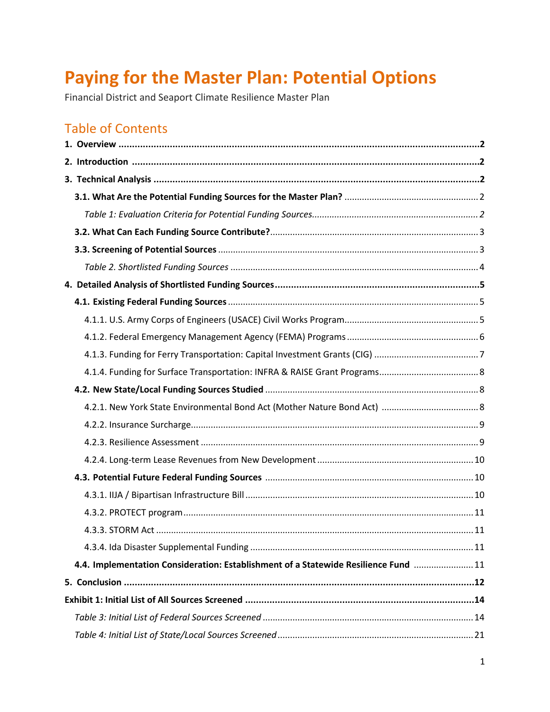# **Paying for the Master Plan: Potential Options**

Financial District and Seaport Climate Resilience Master Plan

# Table of Contents

| 4.4. Implementation Consideration: Establishment of a Statewide Resilience Fund  11 |  |
|-------------------------------------------------------------------------------------|--|
|                                                                                     |  |
|                                                                                     |  |
|                                                                                     |  |
|                                                                                     |  |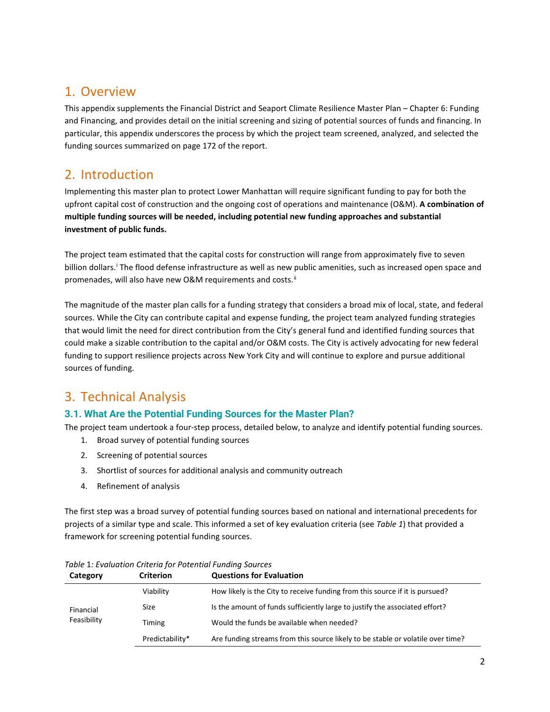# <span id="page-1-0"></span>1. Overview

This appendix supplements the Financial District and Seaport Climate Resilience Master Plan – Chapter 6: Funding and Financing, and provides detail on the initial screening and sizing of potential sources of funds and financing. In particular, this appendix underscores the process by which the project team screened, analyzed, and selected the funding sources summarized on page 172 of the report.

# <span id="page-1-1"></span>2. Introduction

Implementing this master plan to protect Lower Manhattan will require significant funding to pay for both the upfront capital cost of construction and the ongoing cost of operations and maintenance (O&M). **A combination of multiple funding sources will be needed, including potential new funding approaches and substantial investment of public funds.**

The project team estimated that the capital costs for construction will range from approximately five to seven b[i](#page-11-1)llion dollars.<sup>i</sup> The flood defense infrastructure as well as new public amenities, such as increased open space and promenades, will also have new O&M requirements and costs.<sup>[ii](#page-11-2)</sup>

The magnitude of the master plan calls for a funding strategy that considers a broad mix of local, state, and federal sources. While the City can contribute capital and expense funding, the project team analyzed funding strategies that would limit the need for direct contribution from the City's general fund and identified funding sources that could make a sizable contribution to the capital and/or O&M costs. The City is actively advocating for new federal funding to support resilience projects across New York City and will continue to explore and pursue additional sources of funding.

# <span id="page-1-2"></span>3. Technical Analysis

# <span id="page-1-3"></span>**3.1. What Are the Potential Funding Sources for the Master Plan?**

The project team undertook a four-step process, detailed below, to analyze and identify potential funding sources.

- 1. Broad survey of potential funding sources
- 2. Screening of potential sources
- 3. Shortlist of sources for additional analysis and community outreach
- 4. Refinement of analysis

The first step was a broad survey of potential funding sources based on national and international precedents for projects of a similar type and scale. This informed a set of key evaluation criteria (see *[Table 1](#page-1-4)*) that provided a framework for screening potential funding sources.

| Category    | <b>Criterion</b> | <b>Questions for Evaluation</b>                                                 |
|-------------|------------------|---------------------------------------------------------------------------------|
|             | Viability        | How likely is the City to receive funding from this source if it is pursued?    |
| Financial   | Size             | Is the amount of funds sufficiently large to justify the associated effort?     |
| Feasibility | Timing           | Would the funds be available when needed?                                       |
|             | Predictability*  | Are funding streams from this source likely to be stable or volatile over time? |

<span id="page-1-4"></span>*Table* 1*: Evaluation Criteria for Potential Funding Sources*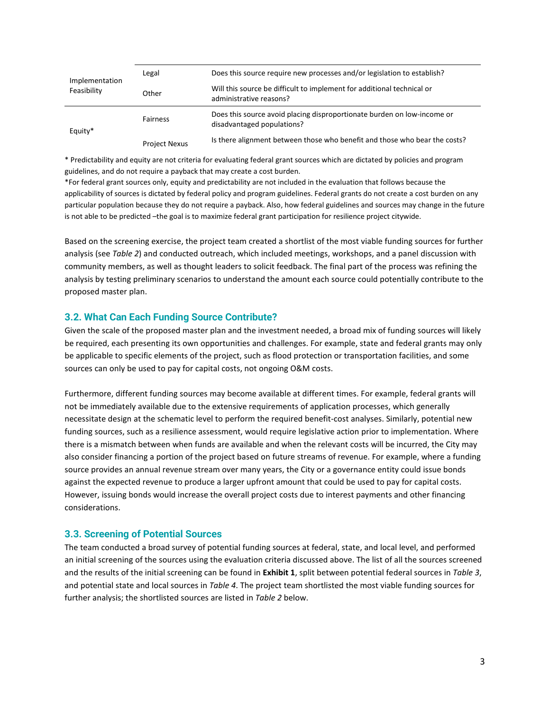| Implementation | Legal                | Does this source require new processes and/or legislation to establish?                               |
|----------------|----------------------|-------------------------------------------------------------------------------------------------------|
| Feasibility    | Other                | Will this source be difficult to implement for additional technical or<br>administrative reasons?     |
| Equity*        | <b>Fairness</b>      | Does this source avoid placing disproportionate burden on low-income or<br>disadvantaged populations? |
|                | <b>Project Nexus</b> | Is there alignment between those who benefit and those who bear the costs?                            |

\* Predictability and equity are not criteria for evaluating federal grant sources which are dictated by policies and program guidelines, and do not require a payback that may create a cost burden.

\*For federal grant sources only, equity and predictability are not included in the evaluation that follows because the applicability of sources is dictated by federal policy and program guidelines. Federal grants do not create a cost burden on any particular population because they do not require a payback. Also, how federal guidelines and sources may change in the future is not able to be predicted –the goal is to maximize federal grant participation for resilience project citywide.

Based on the screening exercise, the project team created a shortlist of the most viable funding sources for further analysis (see *[Table 2](#page-2-2)*) and conducted outreach, which included meetings, workshops, and a panel discussion with community members, as well as thought leaders to solicit feedback. The final part of the process was refining the analysis by testing preliminary scenarios to understand the amount each source could potentially contribute to the proposed master plan.

#### <span id="page-2-0"></span>**3.2. What Can Each Funding Source Contribute?**

Given the scale of the proposed master plan and the investment needed, a broad mix of funding sources will likely be required, each presenting its own opportunities and challenges. For example, state and federal grants may only be applicable to specific elements of the project, such as flood protection or transportation facilities, and some sources can only be used to pay for capital costs, not ongoing O&M costs.

Furthermore, different funding sources may become available at different times. For example, federal grants will not be immediately available due to the extensive requirements of application processes, which generally necessitate design at the schematic level to perform the required benefit-cost analyses. Similarly, potential new funding sources, such as a resilience assessment, would require legislative action prior to implementation. Where there is a mismatch between when funds are available and when the relevant costs will be incurred, the City may also consider financing a portion of the project based on future streams of revenue. For example, where a funding source provides an annual revenue stream over many years, the City or a governance entity could issue bonds against the expected revenue to produce a larger upfront amount that could be used to pay for capital costs. However, issuing bonds would increase the overall project costs due to interest payments and other financing considerations.

#### <span id="page-2-1"></span>**3.3. Screening of Potential Sources**

<span id="page-2-2"></span>The team conducted a broad survey of potential funding sources at federal, state, and local level, and performed an initial screening of the sources using the evaluation criteria discussed above. The list of all the sources screened and the results of the initial screening can be found in **Exhibit 1**, split between potential federal sources in *Table 3*, and potential state and local sources in *Table 4*. The project team shortlisted the most viable funding sources for further analysis; the shortlisted sources are listed in *Table 2* below.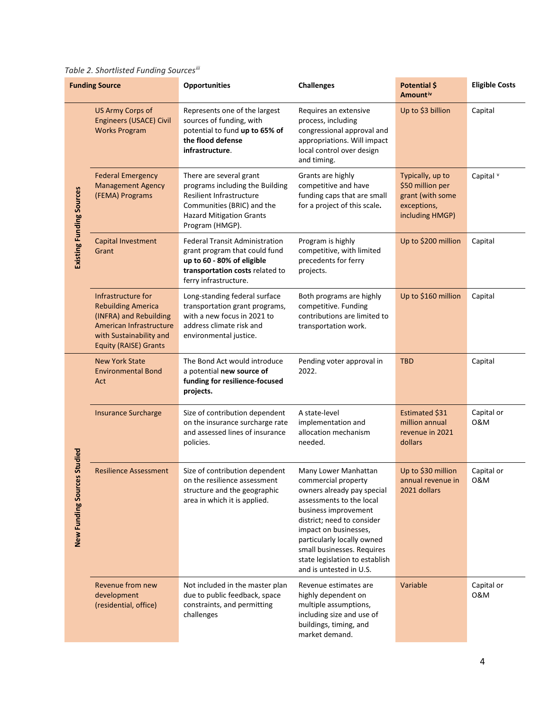### <span id="page-3-0"></span>*Table 2. Shortlisted Funding Sources[iii](#page-11-3)*

| <b>Funding Source</b>           |                                                                                                                                                                 | <b>Opportunities</b>                                                                                                                                                       | <b>Challenges</b>                                                                                                                                                                                                                                                                                             | Potential \$<br>Amount <sup>iv</sup>                                                       | <b>Eligible Costs</b> |
|---------------------------------|-----------------------------------------------------------------------------------------------------------------------------------------------------------------|----------------------------------------------------------------------------------------------------------------------------------------------------------------------------|---------------------------------------------------------------------------------------------------------------------------------------------------------------------------------------------------------------------------------------------------------------------------------------------------------------|--------------------------------------------------------------------------------------------|-----------------------|
|                                 | <b>US Army Corps of</b><br><b>Engineers (USACE) Civil</b><br><b>Works Program</b>                                                                               | Represents one of the largest<br>sources of funding, with<br>potential to fund up to 65% of<br>the flood defense<br>infrastructure.                                        | Requires an extensive<br>process, including<br>congressional approval and<br>appropriations. Will impact<br>local control over design<br>and timing.                                                                                                                                                          | Up to \$3 billion                                                                          | Capital               |
| <b>Existing Funding Sources</b> | <b>Federal Emergency</b><br><b>Management Agency</b><br>(FEMA) Programs                                                                                         | There are several grant<br>programs including the Building<br>Resilient Infrastructure<br>Communities (BRIC) and the<br><b>Hazard Mitigation Grants</b><br>Program (HMGP). | Grants are highly<br>competitive and have<br>funding caps that are small<br>for a project of this scale.                                                                                                                                                                                                      | Typically, up to<br>\$50 million per<br>grant (with some<br>exceptions,<br>including HMGP) | Capital <sup>v</sup>  |
|                                 | <b>Capital Investment</b><br>Grant                                                                                                                              | <b>Federal Transit Administration</b><br>grant program that could fund<br>up to 60 - 80% of eligible<br>transportation costs related to<br>ferry infrastructure.           | Program is highly<br>competitive, with limited<br>precedents for ferry<br>projects.                                                                                                                                                                                                                           | Up to \$200 million                                                                        | Capital               |
|                                 | Infrastructure for<br><b>Rebuilding America</b><br>(INFRA) and Rebuilding<br>American Infrastructure<br>with Sustainability and<br><b>Equity (RAISE) Grants</b> | Long-standing federal surface<br>transportation grant programs,<br>with a new focus in 2021 to<br>address climate risk and<br>environmental justice.                       | Both programs are highly<br>competitive. Funding<br>contributions are limited to<br>transportation work.                                                                                                                                                                                                      | Up to \$160 million                                                                        | Capital               |
|                                 | <b>New York State</b><br><b>Environmental Bond</b><br>Act                                                                                                       | The Bond Act would introduce<br>a potential new source of<br>funding for resilience-focused<br>projects.                                                                   | Pending voter approval in<br>2022.                                                                                                                                                                                                                                                                            | <b>TBD</b>                                                                                 | Capital               |
| Studied                         | <b>Insurance Surcharge</b>                                                                                                                                      | Size of contribution dependent<br>on the insurance surcharge rate<br>and assessed lines of insurance<br>policies.                                                          | A state-level<br>implementation and<br>allocation mechanism<br>needed.                                                                                                                                                                                                                                        | Estimated \$31<br>million annual<br>revenue in 2021<br>dollars                             | Capital or<br>0&M     |
| New Funding Source              | <b>Resilience Assessment</b>                                                                                                                                    | Size of contribution dependent<br>on the resilience assessment<br>structure and the geographic<br>area in which it is applied.                                             | Many Lower Manhattan<br>commercial property<br>owners already pay special<br>assessments to the local<br>business improvement<br>district; need to consider<br>impact on businesses,<br>particularly locally owned<br>small businesses. Requires<br>state legislation to establish<br>and is untested in U.S. | Up to \$30 million<br>annual revenue in<br>2021 dollars                                    | Capital or<br>0&M     |
|                                 | Revenue from new<br>development<br>(residential, office)                                                                                                        | Not included in the master plan<br>due to public feedback, space<br>constraints, and permitting<br>challenges                                                              | Revenue estimates are<br>highly dependent on<br>multiple assumptions,<br>including size and use of<br>buildings, timing, and<br>market demand.                                                                                                                                                                | Variable                                                                                   | Capital or<br>0&M     |

4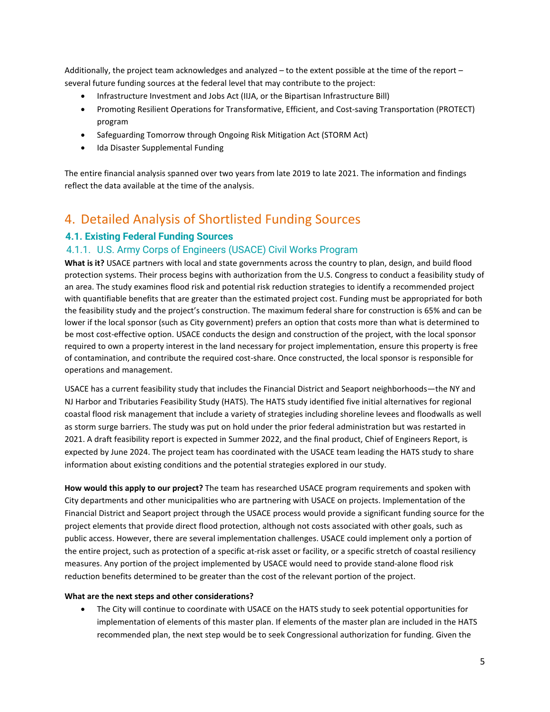Additionally, the project team acknowledges and analyzed – to the extent possible at the time of the report – several future funding sources at the federal level that may contribute to the project:

- Infrastructure Investment and Jobs Act (IIJA, or the Bipartisan Infrastructure Bill)
- Promoting Resilient Operations for Transformative, Efficient, and Cost-saving Transportation (PROTECT) program
- Safeguarding Tomorrow through Ongoing Risk Mitigation Act (STORM Act)
- Ida Disaster Supplemental Funding

The entire financial analysis spanned over two years from late 2019 to late 2021. The information and findings reflect the data available at the time of the analysis.

# <span id="page-4-0"></span>4. Detailed Analysis of Shortlisted Funding Sources

### <span id="page-4-1"></span>**4.1. Existing Federal Funding Sources**

### <span id="page-4-2"></span>4.1.1. U.S. Army Corps of Engineers (USACE) Civil Works Program

**What is it?** USACE partners with local and state governments across the country to plan, design, and build flood protection systems. Their process begins with authorization from the U.S. Congress to conduct a feasibility study of an area. The study examines flood risk and potential risk reduction strategies to identify a recommended project with quantifiable benefits that are greater than the estimated project cost. Funding must be appropriated for both the feasibility study and the project's construction. The maximum federal share for construction is 65% and can be lower if the local sponsor (such as City government) prefers an option that costs more than what is determined to be most cost-effective option. USACE conducts the design and construction of the project, with the local sponsor required to own a property interest in the land necessary for project implementation, ensure this property is free of contamination, and contribute the required cost-share. Once constructed, the local sponsor is responsible for operations and management.

USACE has a current feasibility study that includes the Financial District and Seaport neighborhoods—the NY and NJ Harbor and Tributaries Feasibility Study (HATS). The HATS study identified five initial alternatives for regional coastal flood risk management that include a variety of strategies including shoreline levees and floodwalls as well as storm surge barriers. The study was put on hold under the prior federal administration but was restarted in 2021. A draft feasibility report is expected in Summer 2022, and the final product, Chief of Engineers Report, is expected by June 2024. The project team has coordinated with the USACE team leading the HATS study to share information about existing conditions and the potential strategies explored in our study.

**How would this apply to our project?** The team has researched USACE program requirements and spoken with City departments and other municipalities who are partnering with USACE on projects. Implementation of the Financial District and Seaport project through the USACE process would provide a significant funding source for the project elements that provide direct flood protection, although not costs associated with other goals, such as public access. However, there are several implementation challenges. USACE could implement only a portion of the entire project, such as protection of a specific at-risk asset or facility, or a specific stretch of coastal resiliency measures. Any portion of the project implemented by USACE would need to provide stand-alone flood risk reduction benefits determined to be greater than the cost of the relevant portion of the project.

#### **What are the next steps and other considerations?**

• The City will continue to coordinate with USACE on the HATS study to seek potential opportunities for implementation of elements of this master plan. If elements of the master plan are included in the HATS recommended plan, the next step would be to seek Congressional authorization for funding. Given the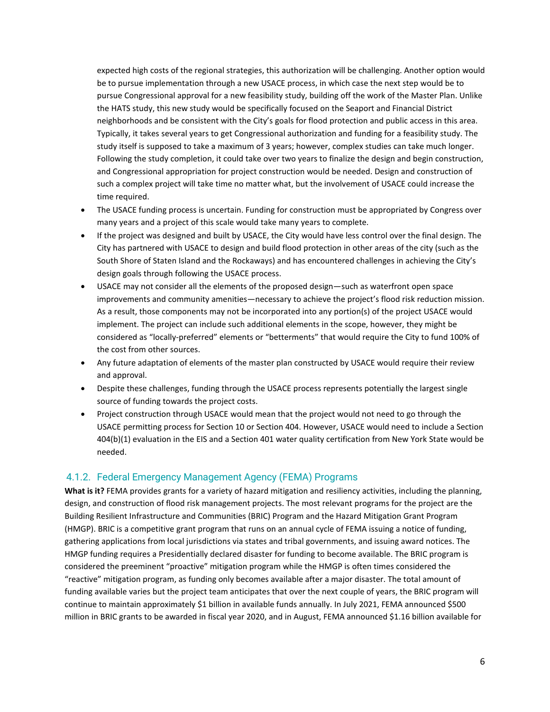expected high costs of the regional strategies, this authorization will be challenging. Another option would be to pursue implementation through a new USACE process, in which case the next step would be to pursue Congressional approval for a new feasibility study, building off the work of the Master Plan. Unlike the HATS study, this new study would be specifically focused on the Seaport and Financial District neighborhoods and be consistent with the City's goals for flood protection and public access in this area. Typically, it takes several years to get Congressional authorization and funding for a feasibility study. The study itself is supposed to take a maximum of 3 years; however, complex studies can take much longer. Following the study completion, it could take over two years to finalize the design and begin construction, and Congressional appropriation for project construction would be needed. Design and construction of such a complex project will take time no matter what, but the involvement of USACE could increase the time required.

- The USACE funding process is uncertain. Funding for construction must be appropriated by Congress over many years and a project of this scale would take many years to complete.
- If the project was designed and built by USACE, the City would have less control over the final design. The City has partnered with USACE to design and build flood protection in other areas of the city (such as the South Shore of Staten Island and the Rockaways) and has encountered challenges in achieving the City's design goals through following the USACE process.
- USACE may not consider all the elements of the proposed design—such as waterfront open space improvements and community amenities—necessary to achieve the project's flood risk reduction mission. As a result, those components may not be incorporated into any portion(s) of the project USACE would implement. The project can include such additional elements in the scope, however, they might be considered as "locally-preferred" elements or "betterments" that would require the City to fund 100% of the cost from other sources.
- Any future adaptation of elements of the master plan constructed by USACE would require their review and approval.
- Despite these challenges, funding through the USACE process represents potentially the largest single source of funding towards the project costs.
- Project construction through USACE would mean that the project would not need to go through the USACE permitting process for Section 10 or Section 404. However, USACE would need to include a Section 404(b)(1) evaluation in the EIS and a Section 401 water quality certification from New York State would be needed.

#### <span id="page-5-0"></span>4.1.2. Federal Emergency Management Agency (FEMA) Programs

**What is it?** FEMA provides grants for a variety of hazard mitigation and resiliency activities, including the planning, design, and construction of flood risk management projects. The most relevant programs for the project are the Building Resilient Infrastructure and Communities (BRIC) Program and the Hazard Mitigation Grant Program (HMGP). BRIC is a competitive grant program that runs on an annual cycle of FEMA issuing a notice of funding, gathering applications from local jurisdictions via states and tribal governments, and issuing award notices. The HMGP funding requires a Presidentially declared disaster for funding to become available. The BRIC program is considered the preeminent "proactive" mitigation program while the HMGP is often times considered the "reactive" mitigation program, as funding only becomes available after a major disaster. The total amount of funding available varies but the project team anticipates that over the next couple of years, the BRIC program will continue to maintain approximately \$1 billion in available funds annually. In July 2021, FEMA announced \$500 million in BRIC grants to be awarded in fiscal year 2020, and in August, FEMA announced \$1.16 billion available for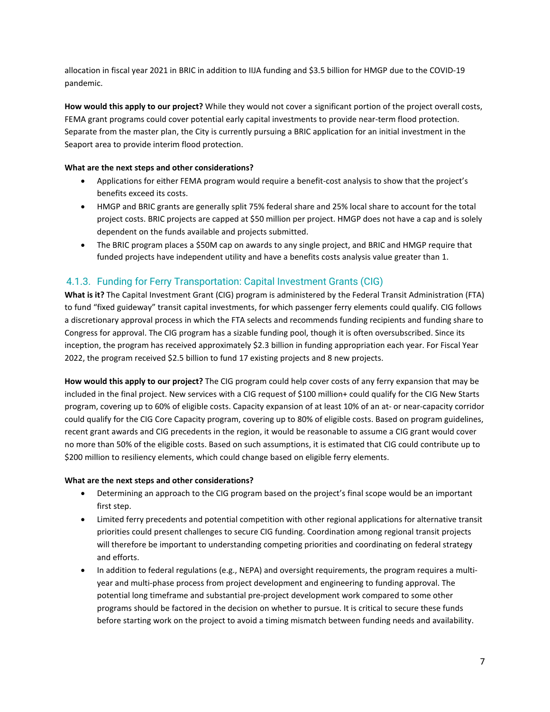allocation in fiscal year 2021 in BRIC in addition to IIJA funding and \$3.5 billion for HMGP due to the COVID-19 pandemic.

**How would this apply to our project?** While they would not cover a significant portion of the project overall costs, FEMA grant programs could cover potential early capital investments to provide near-term flood protection. Separate from the master plan, the City is currently pursuing a BRIC application for an initial investment in the Seaport area to provide interim flood protection.

#### **What are the next steps and other considerations?**

- Applications for either FEMA program would require a benefit-cost analysis to show that the project's benefits exceed its costs.
- HMGP and BRIC grants are generally split 75% federal share and 25% local share to account for the total project costs. BRIC projects are capped at \$50 million per project. HMGP does not have a cap and is solely dependent on the funds available and projects submitted.
- The BRIC program places a \$50M cap on awards to any single project, and BRIC and HMGP require that funded projects have independent utility and have a benefits costs analysis value greater than 1.

#### <span id="page-6-0"></span>4.1.3. Funding for Ferry Transportation: Capital Investment Grants (CIG)

**What is it?** The Capital Investment Grant (CIG) program is administered by the Federal Transit Administration (FTA) to fund "fixed guideway" transit capital investments, for which passenger ferry elements could qualify. CIG follows a discretionary approval process in which the FTA selects and recommends funding recipients and funding share to Congress for approval. The CIG program has a sizable funding pool, though it is often oversubscribed. Since its inception, the program has received approximately \$2.3 billion in funding appropriation each year. For Fiscal Year 2022, the program received \$2.5 billion to fund 17 existing projects and 8 new projects.

**How would this apply to our project?** The CIG program could help cover costs of any ferry expansion that may be included in the final project. New services with a CIG request of \$100 million+ could qualify for the CIG New Starts program, covering up to 60% of eligible costs. Capacity expansion of at least 10% of an at- or near-capacity corridor could qualify for the CIG Core Capacity program, covering up to 80% of eligible costs. Based on program guidelines, recent grant awards and CIG precedents in the region, it would be reasonable to assume a CIG grant would cover no more than 50% of the eligible costs. Based on such assumptions, it is estimated that CIG could contribute up to \$200 million to resiliency elements, which could change based on eligible ferry elements.

#### **What are the next steps and other considerations?**

- Determining an approach to the CIG program based on the project's final scope would be an important first step.
- Limited ferry precedents and potential competition with other regional applications for alternative transit priorities could present challenges to secure CIG funding. Coordination among regional transit projects will therefore be important to understanding competing priorities and coordinating on federal strategy and efforts.
- In addition to federal regulations (e.g., NEPA) and oversight requirements, the program requires a multiyear and multi-phase process from project development and engineering to funding approval. The potential long timeframe and substantial pre-project development work compared to some other programs should be factored in the decision on whether to pursue. It is critical to secure these funds before starting work on the project to avoid a timing mismatch between funding needs and availability.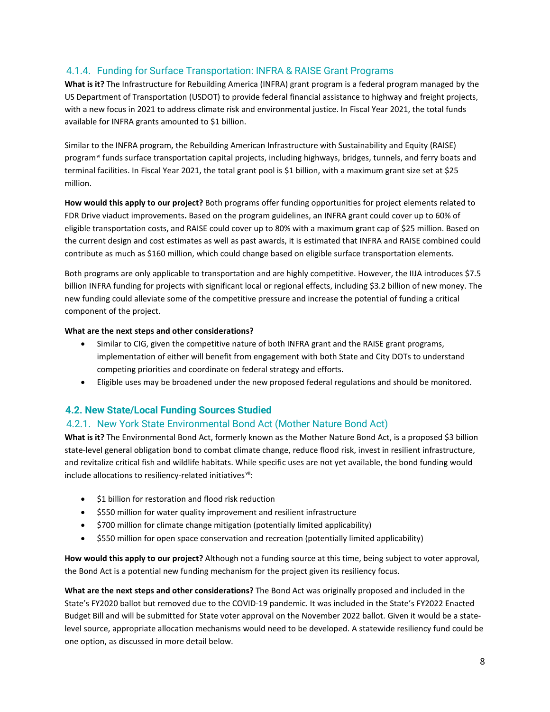## <span id="page-7-0"></span>4.1.4. Funding for Surface Transportation: INFRA & RAISE Grant Programs

**What is it?** The Infrastructure for Rebuilding America (INFRA) grant program is a federal program managed by the US Department of Transportation (USDOT) to provide federal financial assistance to highway and freight projects, with a new focus in 2021 to address climate risk and environmental justice. In Fiscal Year 2021, the total funds available for INFRA grants amounted to \$1 billion.

Similar to the INFRA program, the Rebuilding American Infrastructure with Sustainability and Equity (RAISE) program<sup>[vi](#page-12-1)</sup> funds surface transportation capital projects, including highways, bridges, tunnels, and ferry boats and terminal facilities. In Fiscal Year 2021, the total grant pool is \$1 billion, with a maximum grant size set at \$25 million.

**How would this apply to our project?** Both programs offer funding opportunities for project elements related to FDR Drive viaduct improvements**.** Based on the program guidelines, an INFRA grant could cover up to 60% of eligible transportation costs, and RAISE could cover up to 80% with a maximum grant cap of \$25 million. Based on the current design and cost estimates as well as past awards, it is estimated that INFRA and RAISE combined could contribute as much as \$160 million, which could change based on eligible surface transportation elements.

Both programs are only applicable to transportation and are highly competitive. However, the IIJA introduces \$7.5 billion INFRA funding for projects with significant local or regional effects, including \$3.2 billion of new money. The new funding could alleviate some of the competitive pressure and increase the potential of funding a critical component of the project.

#### **What are the next steps and other considerations?**

- Similar to CIG, given the competitive nature of both INFRA grant and the RAISE grant programs, implementation of either will benefit from engagement with both State and City DOTs to understand competing priorities and coordinate on federal strategy and efforts.
- Eligible uses may be broadened under the new proposed federal regulations and should be monitored.

#### <span id="page-7-1"></span>**4.2. New State/Local Funding Sources Studied**

#### <span id="page-7-2"></span>4.2.1. New York State Environmental Bond Act (Mother Nature Bond Act)

**What is it?** The Environmental Bond Act, formerly known as the Mother Nature Bond Act, is a proposed \$3 billion state-level general obligation bond to combat climate change, reduce flood risk, invest in resilient infrastructure, and revitalize critical fish and wildlife habitats. While specific uses are not yet available, the bond funding would include allocations to resiliency-related initiatives<sup>[vii](#page-12-2)</sup>:

- \$1 billion for restoration and flood risk reduction
- \$550 million for water quality improvement and resilient infrastructure
- \$700 million for climate change mitigation (potentially limited applicability)
- \$550 million for open space conservation and recreation (potentially limited applicability)

**How would this apply to our project?** Although not a funding source at this time, being subject to voter approval, the Bond Act is a potential new funding mechanism for the project given its resiliency focus.

**What are the next steps and other considerations?** The Bond Act was originally proposed and included in the State's FY2020 ballot but removed due to the COVID-19 pandemic. It was included in the State's FY2022 Enacted Budget Bill and will be submitted for State voter approval on the November 2022 ballot. Given it would be a statelevel source, appropriate allocation mechanisms would need to be developed. A statewide resiliency fund could be one option, as discussed in more detail below.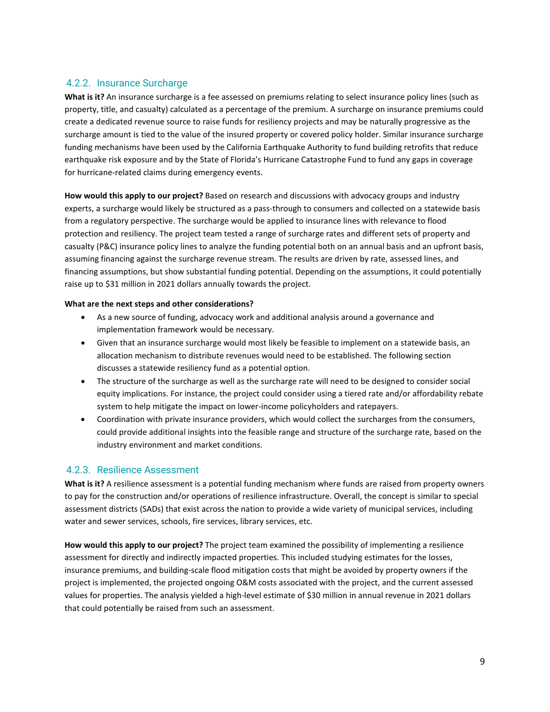### <span id="page-8-0"></span>4.2.2. Insurance Surcharge

**What is it?** An insurance surcharge is a fee assessed on premiums relating to select insurance policy lines (such as property, title, and casualty) calculated as a percentage of the premium. A surcharge on insurance premiums could create a dedicated revenue source to raise funds for resiliency projects and may be naturally progressive as the surcharge amount is tied to the value of the insured property or covered policy holder. Similar insurance surcharge funding mechanisms have been used by the California Earthquake Authority to fund building retrofits that reduce earthquake risk exposure and by the State of Florida's Hurricane Catastrophe Fund to fund any gaps in coverage for hurricane-related claims during emergency events.

**How would this apply to our project?** Based on research and discussions with advocacy groups and industry experts, a surcharge would likely be structured as a pass-through to consumers and collected on a statewide basis from a regulatory perspective. The surcharge would be applied to insurance lines with relevance to flood protection and resiliency. The project team tested a range of surcharge rates and different sets of property and casualty (P&C) insurance policy lines to analyze the funding potential both on an annual basis and an upfront basis, assuming financing against the surcharge revenue stream. The results are driven by rate, assessed lines, and financing assumptions, but show substantial funding potential. Depending on the assumptions, it could potentially raise up to \$31 million in 2021 dollars annually towards the project.

#### **What are the next steps and other considerations?**

- As a new source of funding, advocacy work and additional analysis around a governance and implementation framework would be necessary.
- Given that an insurance surcharge would most likely be feasible to implement on a statewide basis, an allocation mechanism to distribute revenues would need to be established. The following section discusses a statewide resiliency fund as a potential option.
- The structure of the surcharge as well as the surcharge rate will need to be designed to consider social equity implications. For instance, the project could consider using a tiered rate and/or affordability rebate system to help mitigate the impact on lower-income policyholders and ratepayers.
- Coordination with private insurance providers, which would collect the surcharges from the consumers, could provide additional insights into the feasible range and structure of the surcharge rate, based on the industry environment and market conditions.

# <span id="page-8-1"></span>4.2.3. Resilience Assessment

**What is it?** A resilience assessment is a potential funding mechanism where funds are raised from property owners to pay for the construction and/or operations of resilience infrastructure. Overall, the concept is similar to special assessment districts (SADs) that exist across the nation to provide a wide variety of municipal services, including water and sewer services, schools, fire services, library services, etc.

**How would this apply to our project?** The project team examined the possibility of implementing a resilience assessment for directly and indirectly impacted properties. This included studying estimates for the losses, insurance premiums, and building-scale flood mitigation costs that might be avoided by property owners if the project is implemented, the projected ongoing O&M costs associated with the project, and the current assessed values for properties. The analysis yielded a high-level estimate of \$30 million in annual revenue in 2021 dollars that could potentially be raised from such an assessment.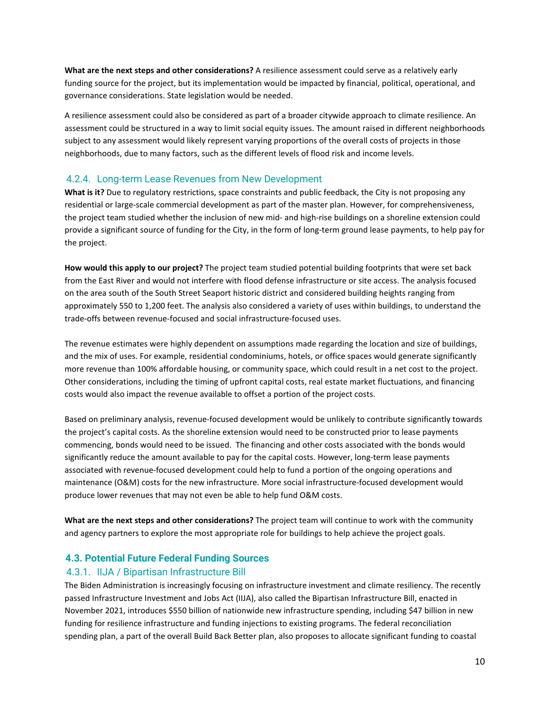**What are the next steps and other considerations?** A resilience assessment could serve as a relatively early funding source for the project, but its implementation would be impacted by financial, political, operational, and governance considerations. State legislation would be needed.

A resilience assessment could also be considered as part of a broader citywide approach to climate resilience. An assessment could be structured in a way to limit social equity issues. The amount raised in different neighborhoods subject to any assessment would likely represent varying proportions of the overall costs of projects in those neighborhoods, due to many factors, such as the different levels of flood risk and income levels.

#### <span id="page-9-0"></span>4.2.4. Long-term Lease Revenues from New Development

**What is it?** Due to regulatory restrictions, space constraints and public feedback, the City is not proposing any residential or large-scale commercial development as part of the master plan. However, for comprehensiveness, the project team studied whether the inclusion of new mid- and high-rise buildings on a shoreline extension could provide a significant source of funding for the City, in the form of long-term ground lease payments, to help pay for the project.

**How would this apply to our project?** The project team studied potential building footprints that were set back from the East River and would not interfere with flood defense infrastructure or site access. The analysis focused on the area south of the South Street Seaport historic district and considered building heights ranging from approximately 550 to 1,200 feet. The analysis also considered a variety of uses within buildings, to understand the trade-offs between revenue-focused and social infrastructure-focused uses.

The revenue estimates were highly dependent on assumptions made regarding the location and size of buildings, and the mix of uses. For example, residential condominiums, hotels, or office spaces would generate significantly more revenue than 100% affordable housing, or community space, which could result in a net cost to the project. Other considerations, including the timing of upfront capital costs, real estate market fluctuations, and financing costs would also impact the revenue available to offset a portion of the project costs.

Based on preliminary analysis, revenue-focused development would be unlikely to contribute significantly towards the project's capital costs. As the shoreline extension would need to be constructed prior to lease payments commencing, bonds would need to be issued. The financing and other costs associated with the bonds would significantly reduce the amount available to pay for the capital costs. However, long-term lease payments associated with revenue-focused development could help to fund a portion of the ongoing operations and maintenance (O&M) costs for the new infrastructure. More social infrastructure-focused development would produce lower revenues that may not even be able to help fund O&M costs.

**What are the next steps and other considerations?** The project team will continue to work with the community and agency partners to explore the most appropriate role for buildings to help achieve the project goals.

#### <span id="page-9-1"></span>**4.3. Potential Future Federal Funding Sources**

#### <span id="page-9-2"></span>4.3.1. IIJA / Bipartisan Infrastructure Bill

The Biden Administration is increasingly focusing on infrastructure investment and climate resiliency. The recently passed Infrastructure Investment and Jobs Act (IIJA), also called the Bipartisan Infrastructure Bill, enacted in November 2021, introduces \$550 billion of nationwide new infrastructure spending, including \$47 billion in new funding for resilience infrastructure and funding injections to existing programs. The federal reconciliation spending plan, a part of the overall Build Back Better plan, also proposes to allocate significant funding to coastal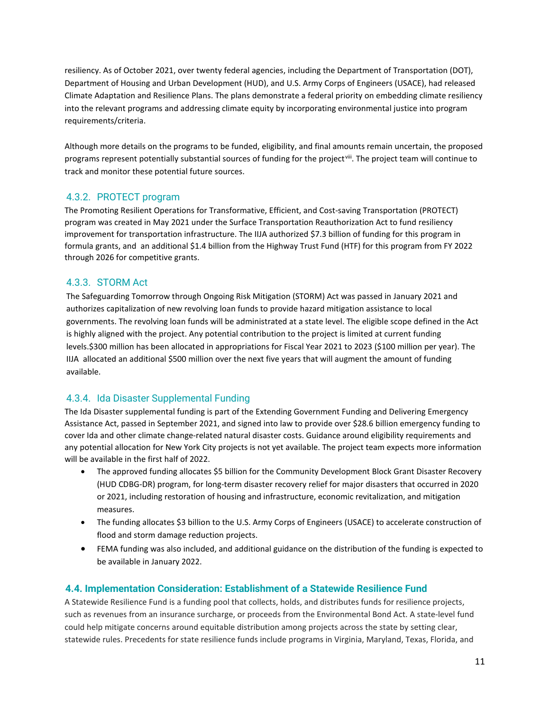resiliency. As of October 2021, over twenty federal agencies, including the Department of Transportation (DOT), Department of Housing and Urban Development (HUD), and U.S. Army Corps of Engineers (USACE), had released Climate Adaptation and Resilience Plans. The plans demonstrate a federal priority on embedding climate resiliency into the relevant programs and addressing climate equity by incorporating environmental justice into program requirements/criteria.

Although more details on the programs to be funded, eligibility, and final amounts remain uncertain, the proposed programs represent potentially substantial sources of funding for the project<sup>viii</sup>. The project team will continue to track and monitor these potential future sources.

### <span id="page-10-0"></span>4.3.2. PROTECT program

The Promoting Resilient Operations for Transformative, Efficient, and Cost-saving Transportation (PROTECT) program was created in May 2021 under the Surface Transportation Reauthorization Act to fund resiliency improvement for transportation infrastructure. The IIJA authorized \$7.3 billion of funding for this program in formula grants, and an additional \$1.4 billion from the Highway Trust Fund (HTF) for this program from FY 2022 through 2026 for competitive grants.

#### <span id="page-10-1"></span>4.3.3. STORM Act

The Safeguarding Tomorrow through Ongoing Risk Mitigation (STORM) Act was passed in January 2021 and authorizes capitalization of new revolving loan funds to provide hazard mitigation assistance to local governments. The revolving loan funds will be administrated at a state level. The eligible scope defined in the Act is highly aligned with the project. Any potential contribution to the project is limited at current funding levels.\$300 million has been allocated in appropriations for Fiscal Year 2021 to 2023 (\$100 million per year). The IIJA allocated an additional \$500 million over the next five years that will augment the amount of funding available.

### <span id="page-10-2"></span>4.3.4. Ida Disaster Supplemental Funding

The Ida Disaster supplemental funding is part of the Extending Government Funding and Delivering Emergency Assistance Act, passed in September 2021, and signed into law to provide over \$28.6 billion emergency funding to cover Ida and other climate change-related natural disaster costs. Guidance around eligibility requirements and any potential allocation for New York City projects is not yet available. The project team expects more information will be available in the first half of 2022.

- The approved funding allocates \$5 billion for the Community Development Block Grant Disaster Recovery (HUD CDBG-DR) program, for long-term disaster recovery relief for major disasters that occurred in 2020 or 2021, including restoration of housing and infrastructure, economic revitalization, and mitigation measures.
- The funding allocates \$3 billion to the U.S. Army Corps of Engineers (USACE) to accelerate construction of flood and storm damage reduction projects.
- FEMA funding was also included, and additional guidance on the distribution of the funding is expected to be available in January 2022.

#### <span id="page-10-3"></span>**4.4. Implementation Consideration: Establishment of a Statewide Resilience Fund**

A Statewide Resilience Fund is a funding pool that collects, holds, and distributes funds for resilience projects, such as revenues from an insurance surcharge, or proceeds from the Environmental Bond Act. A state-level fund could help mitigate concerns around equitable distribution among projects across the state by setting clear, statewide rules. Precedents for state resilience funds include programs in Virginia, Maryland, Texas, Florida, and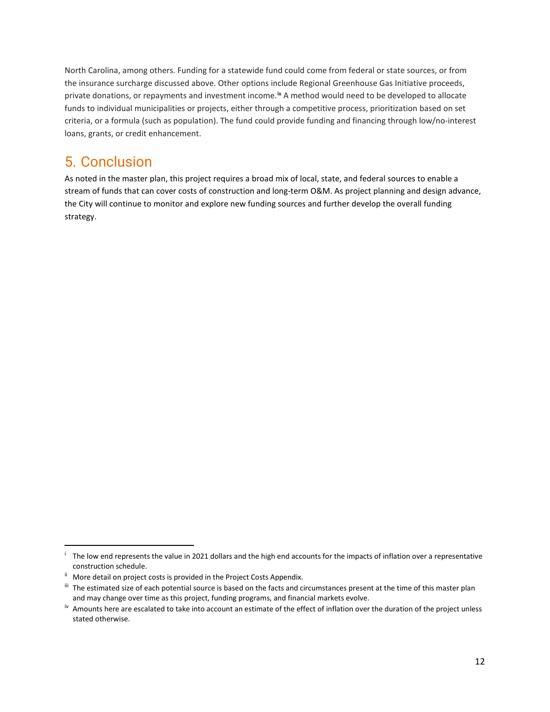North Carolina, among others. Funding for a statewide fund could come from federal or state sources, or from the insurance surcharge discussed above. Other options include Regional Greenhouse Gas Initiative proceeds, private donations, or repayments and investment income. **[ix](#page-12-4)** A method would need to be developed to allocate funds to individual municipalities or projects, either through a competitive process, prioritization based on set criteria, or a formula (such as population). The fund could provide funding and financing through low/no-interest loans, grants, or credit enhancement.

# <span id="page-11-0"></span>5. Conclusion

As noted in the master plan, this project requires a broad mix of local, state, and federal sources to enable a stream of funds that can cover costs of construction and long-term O&M. As project planning and design advance, the City will continue to monitor and explore new funding sources and further develop the overall funding strategy.

<span id="page-11-1"></span><sup>&</sup>lt;sup>i</sup> The low end represents the value in 2021 dollars and the high end accounts for the impacts of inflation over a representative construction schedule.

<span id="page-11-2"></span>ii More detail on project costs is provided in the Project Costs Appendix.

<span id="page-11-3"></span>iii The estimated size of each potential source is based on the facts and circumstances present at the time of this master plan and may change over time as this project, funding programs, and financial markets evolve.

<span id="page-11-4"></span>iv Amounts here are escalated to take into account an estimate of the effect of inflation over the duration of the project unless stated otherwise.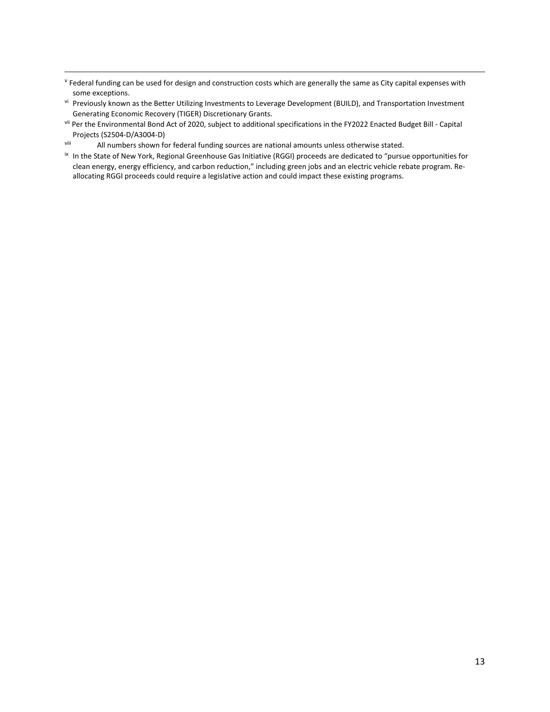<span id="page-12-0"></span><sup>v</sup> Federal funding can be used for design and construction costs which are generally the same as City capital expenses with some exceptions.

- <span id="page-12-1"></span>vi Previously known as the Better Utilizing Investments to Leverage Development (BUILD), and Transportation Investment Generating Economic Recovery (TIGER) Discretionary Grants.
- <span id="page-12-2"></span>vii Per the Environmental Bond Act of 2020, subject to additional specifications in the FY2022 Enacted Budget Bill - Capital Projects (S2504-D/A3004-D)
- <span id="page-12-3"></span>viii All numbers shown for federal funding sources are national amounts unless otherwise stated.
- <span id="page-12-4"></span>ix In the State of New York, Regional Greenhouse Gas Initiative (RGGI) proceeds are dedicated to "pursue opportunities for clean energy, energy efficiency, and carbon reduction," including green jobs and an electric vehicle rebate program. Reallocating RGGI proceeds could require a legislative action and could impact these existing programs.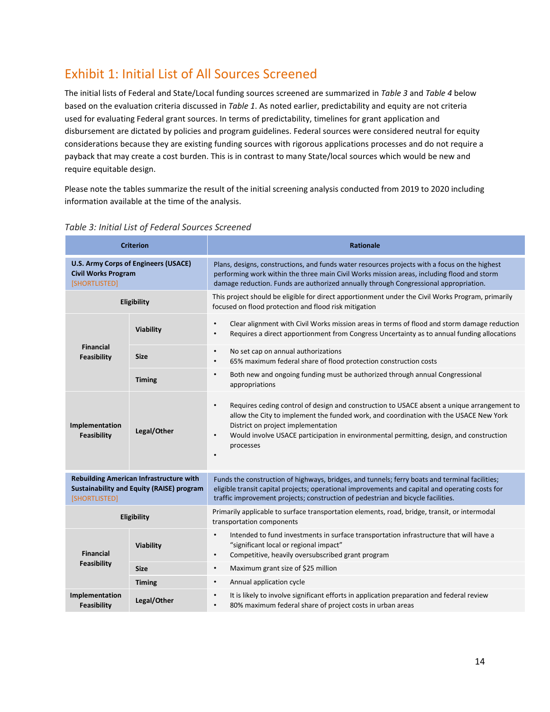# <span id="page-13-0"></span>Exhibit 1: Initial List of All Sources Screened

The initial lists of Federal and State/Local funding sources screened are summarized in *Table 3* and *Table 4* below based on the evaluation criteria discussed in *Table 1*. As noted earlier, predictability and equity are not criteria used for evaluating Federal grant sources. In terms of predictability, timelines for grant application and disbursement are dictated by policies and program guidelines. Federal sources were considered neutral for equity considerations because they are existing funding sources with rigorous applications processes and do not require a payback that may create a cost burden. This is in contrast to many State/local sources which would be new and require equitable design.

Please note the tables summarize the result of the initial screening analysis conducted from 2019 to 2020 including information available at the time of the analysis.

| <b>Criterion</b>                                                                                                    |                  | <b>Rationale</b>                                                                                                                                                                                                                                                                                                                                                         |
|---------------------------------------------------------------------------------------------------------------------|------------------|--------------------------------------------------------------------------------------------------------------------------------------------------------------------------------------------------------------------------------------------------------------------------------------------------------------------------------------------------------------------------|
| U.S. Army Corps of Engineers (USACE)<br><b>Civil Works Program</b><br>[SHORTLISTED]                                 |                  | Plans, designs, constructions, and funds water resources projects with a focus on the highest<br>performing work within the three main Civil Works mission areas, including flood and storm<br>damage reduction. Funds are authorized annually through Congressional appropriation.                                                                                      |
|                                                                                                                     | Eligibility      | This project should be eligible for direct apportionment under the Civil Works Program, primarily<br>focused on flood protection and flood risk mitigation                                                                                                                                                                                                               |
|                                                                                                                     | <b>Viability</b> | $\bullet$<br>Clear alignment with Civil Works mission areas in terms of flood and storm damage reduction<br>Requires a direct apportionment from Congress Uncertainty as to annual funding allocations<br>$\bullet$                                                                                                                                                      |
| <b>Financial</b><br>Feasibility                                                                                     | <b>Size</b>      | $\bullet$<br>No set cap on annual authorizations<br>65% maximum federal share of flood protection construction costs<br>$\bullet$                                                                                                                                                                                                                                        |
|                                                                                                                     | <b>Timing</b>    | Both new and ongoing funding must be authorized through annual Congressional<br>$\bullet$<br>appropriations                                                                                                                                                                                                                                                              |
| Implementation<br>Feasibility                                                                                       | Legal/Other      | Requires ceding control of design and construction to USACE absent a unique arrangement to<br>$\bullet$<br>allow the City to implement the funded work, and coordination with the USACE New York<br>District on project implementation<br>$\bullet$<br>Would involve USACE participation in environmental permitting, design, and construction<br>processes<br>$\bullet$ |
| <b>Rebuilding American Infrastructure with</b><br><b>Sustainability and Equity (RAISE) program</b><br>[SHORTLISTED] |                  | Funds the construction of highways, bridges, and tunnels; ferry boats and terminal facilities;<br>eligible transit capital projects; operational improvements and capital and operating costs for<br>traffic improvement projects; construction of pedestrian and bicycle facilities.                                                                                    |
| Eligibility                                                                                                         |                  | Primarily applicable to surface transportation elements, road, bridge, transit, or intermodal<br>transportation components                                                                                                                                                                                                                                               |
| <b>Financial</b>                                                                                                    | <b>Viability</b> | Intended to fund investments in surface transportation infrastructure that will have a<br>$\bullet$<br>"significant local or regional impact"<br>Competitive, heavily oversubscribed grant program<br>$\bullet$                                                                                                                                                          |
| Feasibility                                                                                                         | <b>Size</b>      | Maximum grant size of \$25 million<br>$\bullet$                                                                                                                                                                                                                                                                                                                          |
|                                                                                                                     | <b>Timing</b>    | Annual application cycle<br>$\bullet$                                                                                                                                                                                                                                                                                                                                    |
| Implementation<br>Feasibility                                                                                       | Legal/Other      | It is likely to involve significant efforts in application preparation and federal review<br>$\bullet$<br>80% maximum federal share of project costs in urban areas<br>$\bullet$                                                                                                                                                                                         |

#### <span id="page-13-1"></span>*Table 3: Initial List of Federal Sources Screened*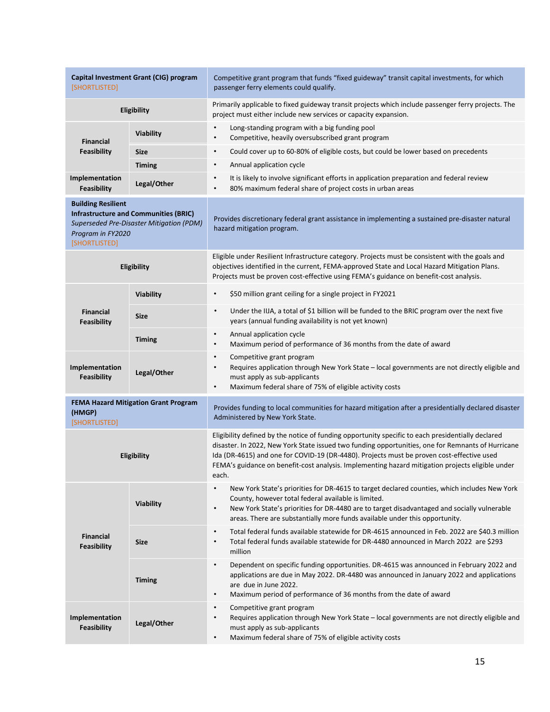| Capital Investment Grant (CIG) program<br>[SHORTLISTED]                                                                                                     |                  | Competitive grant program that funds "fixed guideway" transit capital investments, for which<br>passenger ferry elements could qualify.                                                                                                                                                                                                                                                                          |
|-------------------------------------------------------------------------------------------------------------------------------------------------------------|------------------|------------------------------------------------------------------------------------------------------------------------------------------------------------------------------------------------------------------------------------------------------------------------------------------------------------------------------------------------------------------------------------------------------------------|
| Eligibility                                                                                                                                                 |                  | Primarily applicable to fixed guideway transit projects which include passenger ferry projects. The<br>project must either include new services or capacity expansion.                                                                                                                                                                                                                                           |
| <b>Financial</b>                                                                                                                                            | Viability        | $\bullet$<br>Long-standing program with a big funding pool<br>Competitive, heavily oversubscribed grant program<br>$\bullet$                                                                                                                                                                                                                                                                                     |
| Feasibility                                                                                                                                                 | <b>Size</b>      | Could cover up to 60-80% of eligible costs, but could be lower based on precedents<br>$\bullet$                                                                                                                                                                                                                                                                                                                  |
|                                                                                                                                                             | <b>Timing</b>    | Annual application cycle<br>$\bullet$                                                                                                                                                                                                                                                                                                                                                                            |
| Implementation<br>Feasibility                                                                                                                               | Legal/Other      | It is likely to involve significant efforts in application preparation and federal review<br>$\bullet$<br>80% maximum federal share of project costs in urban areas<br>$\bullet$                                                                                                                                                                                                                                 |
| <b>Building Resilient</b><br><b>Infrastructure and Communities (BRIC)</b><br>Superseded Pre-Disaster Mitigation (PDM)<br>Program in FY2020<br>[SHORTLISTED] |                  | Provides discretionary federal grant assistance in implementing a sustained pre-disaster natural<br>hazard mitigation program.                                                                                                                                                                                                                                                                                   |
|                                                                                                                                                             | Eligibility      | Eligible under Resilient Infrastructure category. Projects must be consistent with the goals and<br>objectives identified in the current, FEMA-approved State and Local Hazard Mitigation Plans.<br>Projects must be proven cost-effective using FEMA's guidance on benefit-cost analysis.                                                                                                                       |
|                                                                                                                                                             | <b>Viability</b> | $\bullet$<br>\$50 million grant ceiling for a single project in FY2021                                                                                                                                                                                                                                                                                                                                           |
| <b>Financial</b><br>Feasibility                                                                                                                             | <b>Size</b>      | $\bullet$<br>Under the IIJA, a total of \$1 billion will be funded to the BRIC program over the next five<br>years (annual funding availability is not yet known)                                                                                                                                                                                                                                                |
|                                                                                                                                                             | <b>Timing</b>    | Annual application cycle<br>$\bullet$<br>Maximum period of performance of 36 months from the date of award<br>$\bullet$                                                                                                                                                                                                                                                                                          |
| Implementation<br><b>Feasibility</b>                                                                                                                        | Legal/Other      | Competitive grant program<br>$\bullet$<br>Requires application through New York State - local governments are not directly eligible and<br>must apply as sub-applicants<br>Maximum federal share of 75% of eligible activity costs<br>$\bullet$                                                                                                                                                                  |
| <b>FEMA Hazard Mitigation Grant Program</b><br>(HMGP)<br>[SHORTLISTED]                                                                                      |                  | Provides funding to local communities for hazard mitigation after a presidentially declared disaster<br>Administered by New York State.                                                                                                                                                                                                                                                                          |
| Eligibility                                                                                                                                                 |                  | Eligibility defined by the notice of funding opportunity specific to each presidentially declared<br>disaster. In 2022, New York State issued two funding opportunities, one for Remnants of Hurricane<br>Ida (DR-4615) and one for COVID-19 (DR-4480). Projects must be proven cost-effective used<br>FEMA's guidance on benefit-cost analysis. Implementing hazard mitigation projects eligible under<br>each. |
|                                                                                                                                                             | Viability        | $\bullet$<br>New York State's priorities for DR-4615 to target declared counties, which includes New York<br>County, however total federal available is limited.<br>New York State's priorities for DR-4480 are to target disadvantaged and socially vulnerable<br>$\bullet$<br>areas. There are substantially more funds available under this opportunity.                                                      |
| <b>Financial</b><br>Feasibility                                                                                                                             | <b>Size</b>      | $\bullet$<br>Total federal funds available statewide for DR-4615 announced in Feb. 2022 are \$40.3 million<br>Total federal funds available statewide for DR-4480 announced in March 2022 are \$293<br>$\bullet$<br>million                                                                                                                                                                                      |
|                                                                                                                                                             | <b>Timing</b>    | Dependent on specific funding opportunities. DR-4615 was announced in February 2022 and<br>$\bullet$<br>applications are due in May 2022. DR-4480 was announced in January 2022 and applications<br>are due in June 2022.<br>Maximum period of performance of 36 months from the date of award<br>$\bullet$                                                                                                      |
| Implementation<br>Feasibility                                                                                                                               | Legal/Other      | Competitive grant program<br>$\bullet$<br>Requires application through New York State - local governments are not directly eligible and<br>$\bullet$<br>must apply as sub-applicants<br>Maximum federal share of 75% of eligible activity costs<br>$\bullet$                                                                                                                                                     |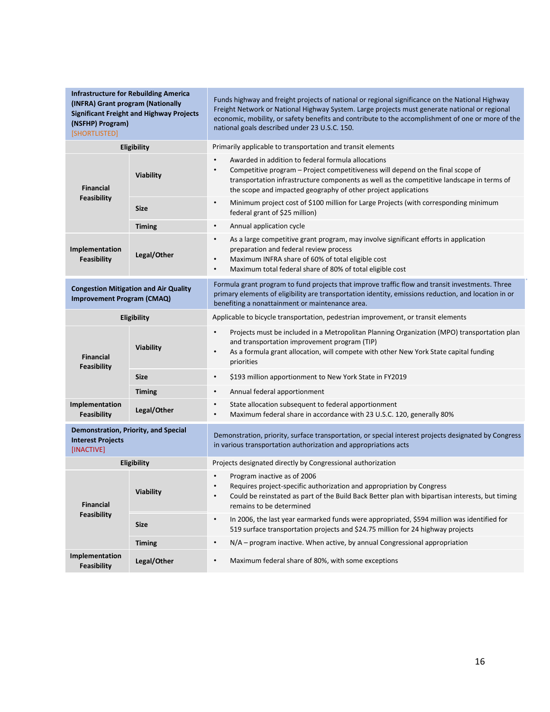| <b>Infrastructure for Rebuilding America</b><br>(INFRA) Grant program (Nationally<br><b>Significant Freight and Highway Projects</b><br>(NSFHP) Program)<br>[SHORTLISTED] |                    | Funds highway and freight projects of national or regional significance on the National Highway<br>Freight Network or National Highway System. Large projects must generate national or regional<br>economic, mobility, or safety benefits and contribute to the accomplishment of one or more of the<br>national goals described under 23 U.S.C. 150. |
|---------------------------------------------------------------------------------------------------------------------------------------------------------------------------|--------------------|--------------------------------------------------------------------------------------------------------------------------------------------------------------------------------------------------------------------------------------------------------------------------------------------------------------------------------------------------------|
|                                                                                                                                                                           | Eligibility        | Primarily applicable to transportation and transit elements                                                                                                                                                                                                                                                                                            |
| <b>Financial</b>                                                                                                                                                          | Viability          | Awarded in addition to federal formula allocations<br>$\bullet$<br>Competitive program – Project competitiveness will depend on the final scope of<br>transportation infrastructure components as well as the competitive landscape in terms of<br>the scope and impacted geography of other project applications                                      |
| Feasibility                                                                                                                                                               | <b>Size</b>        | Minimum project cost of \$100 million for Large Projects (with corresponding minimum<br>$\bullet$<br>federal grant of \$25 million)                                                                                                                                                                                                                    |
|                                                                                                                                                                           | <b>Timing</b>      | Annual application cycle<br>$\bullet$                                                                                                                                                                                                                                                                                                                  |
| Implementation<br>Feasibility                                                                                                                                             | Legal/Other        | As a large competitive grant program, may involve significant efforts in application<br>$\bullet$<br>preparation and federal review process<br>Maximum INFRA share of 60% of total eligible cost<br>$\bullet$<br>Maximum total federal share of 80% of total eligible cost<br>$\bullet$                                                                |
| <b>Congestion Mitigation and Air Quality</b><br><b>Improvement Program (CMAQ)</b>                                                                                         |                    | Formula grant program to fund projects that improve traffic flow and transit investments. Three<br>primary elements of eligibility are transportation identity, emissions reduction, and location in or<br>benefiting a nonattainment or maintenance area.                                                                                             |
|                                                                                                                                                                           | <b>Eligibility</b> | Applicable to bicycle transportation, pedestrian improvement, or transit elements                                                                                                                                                                                                                                                                      |
| <b>Financial</b><br>Feasibility                                                                                                                                           | Viability          | Projects must be included in a Metropolitan Planning Organization (MPO) transportation plan<br>$\bullet$<br>and transportation improvement program (TIP)<br>As a formula grant allocation, will compete with other New York State capital funding<br>$\bullet$<br>priorities                                                                           |
|                                                                                                                                                                           | <b>Size</b>        | $\bullet$<br>\$193 million apportionment to New York State in FY2019                                                                                                                                                                                                                                                                                   |
|                                                                                                                                                                           | <b>Timing</b>      | Annual federal apportionment<br>$\bullet$                                                                                                                                                                                                                                                                                                              |
| Implementation<br>Feasibility                                                                                                                                             | Legal/Other        | State allocation subsequent to federal apportionment<br>$\bullet$<br>Maximum federal share in accordance with 23 U.S.C. 120, generally 80%<br>$\bullet$                                                                                                                                                                                                |
| Demonstration, Priority, and Special<br><b>Interest Projects</b><br>[INACTIVE]                                                                                            |                    | Demonstration, priority, surface transportation, or special interest projects designated by Congress<br>in various transportation authorization and appropriations acts                                                                                                                                                                                |
| Eligibility                                                                                                                                                               |                    | Projects designated directly by Congressional authorization                                                                                                                                                                                                                                                                                            |
| <b>Financial</b>                                                                                                                                                          | Viability          | Program inactive as of 2006<br>$\bullet$<br>Requires project-specific authorization and appropriation by Congress<br>$\bullet$<br>Could be reinstated as part of the Build Back Better plan with bipartisan interests, but timing<br>$\bullet$<br>remains to be determined                                                                             |
| Feasibility                                                                                                                                                               | <b>Size</b>        | In 2006, the last year earmarked funds were appropriated, \$594 million was identified for<br>$\bullet$<br>519 surface transportation projects and \$24.75 million for 24 highway projects                                                                                                                                                             |
|                                                                                                                                                                           | <b>Timing</b>      | N/A – program inactive. When active, by annual Congressional appropriation<br>$\bullet$                                                                                                                                                                                                                                                                |
| Implementation<br>Feasibility                                                                                                                                             | Legal/Other        | Maximum federal share of 80%, with some exceptions<br>$\bullet$                                                                                                                                                                                                                                                                                        |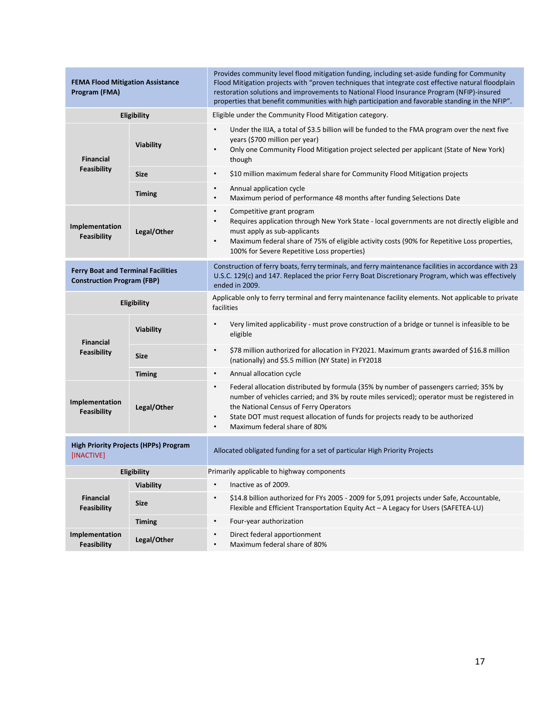| <b>FEMA Flood Mitigation Assistance</b><br>Program (FMA)                       |                  | Provides community level flood mitigation funding, including set-aside funding for Community<br>Flood Mitigation projects with "proven techniques that integrate cost effective natural floodplain<br>restoration solutions and improvements to National Flood Insurance Program (NFIP)-insured<br>properties that benefit communities with high participation and favorable standing in the NFIP". |
|--------------------------------------------------------------------------------|------------------|-----------------------------------------------------------------------------------------------------------------------------------------------------------------------------------------------------------------------------------------------------------------------------------------------------------------------------------------------------------------------------------------------------|
|                                                                                | Eligibility      | Eligible under the Community Flood Mitigation category.                                                                                                                                                                                                                                                                                                                                             |
| <b>Financial</b>                                                               | Viability        | Under the IIJA, a total of \$3.5 billion will be funded to the FMA program over the next five<br>$\bullet$<br>years (\$700 million per year)<br>Only one Community Flood Mitigation project selected per applicant (State of New York)<br>$\bullet$<br>though                                                                                                                                       |
| Feasibility                                                                    | <b>Size</b>      | $\bullet$<br>\$10 million maximum federal share for Community Flood Mitigation projects                                                                                                                                                                                                                                                                                                             |
|                                                                                | <b>Timing</b>    | Annual application cycle<br>$\bullet$<br>Maximum period of performance 48 months after funding Selections Date<br>$\bullet$                                                                                                                                                                                                                                                                         |
| Implementation<br><b>Feasibility</b>                                           | Legal/Other      | Competitive grant program<br>$\bullet$<br>Requires application through New York State - local governments are not directly eligible and<br>$\bullet$<br>must apply as sub-applicants<br>Maximum federal share of 75% of eligible activity costs (90% for Repetitive Loss properties,<br>100% for Severe Repetitive Loss properties)                                                                 |
| <b>Ferry Boat and Terminal Facilities</b><br><b>Construction Program (FBP)</b> |                  | Construction of ferry boats, ferry terminals, and ferry maintenance facilities in accordance with 23<br>U.S.C. 129(c) and 147. Replaced the prior Ferry Boat Discretionary Program, which was effectively<br>ended in 2009.                                                                                                                                                                         |
| Eligibility                                                                    |                  | Applicable only to ferry terminal and ferry maintenance facility elements. Not applicable to private<br>facilities                                                                                                                                                                                                                                                                                  |
| <b>Financial</b>                                                               | <b>Viability</b> | Very limited applicability - must prove construction of a bridge or tunnel is infeasible to be<br>$\bullet$<br>eligible                                                                                                                                                                                                                                                                             |
| Feasibility                                                                    | <b>Size</b>      | $\bullet$<br>\$78 million authorized for allocation in FY2021. Maximum grants awarded of \$16.8 million<br>(nationally) and \$5.5 million (NY State) in FY2018                                                                                                                                                                                                                                      |
|                                                                                | <b>Timing</b>    | Annual allocation cycle<br>$\bullet$                                                                                                                                                                                                                                                                                                                                                                |
| Implementation<br>Feasibility                                                  | Legal/Other      | Federal allocation distributed by formula (35% by number of passengers carried; 35% by<br>$\bullet$<br>number of vehicles carried; and 3% by route miles serviced); operator must be registered in<br>the National Census of Ferry Operators<br>State DOT must request allocation of funds for projects ready to be authorized<br>$\bullet$<br>Maximum federal share of 80%<br>$\bullet$            |
| <b>High Priority Projects (HPPs) Program</b><br>[INACTIVE]                     |                  | Allocated obligated funding for a set of particular High Priority Projects                                                                                                                                                                                                                                                                                                                          |
| Eligibility                                                                    |                  | Primarily applicable to highway components                                                                                                                                                                                                                                                                                                                                                          |
|                                                                                | <b>Viability</b> | Inactive as of 2009.<br>$\bullet$                                                                                                                                                                                                                                                                                                                                                                   |
| <b>Financial</b><br>Feasibility                                                | <b>Size</b>      | \$14.8 billion authorized for FYs 2005 - 2009 for 5,091 projects under Safe, Accountable,<br>$\bullet$<br>Flexible and Efficient Transportation Equity Act - A Legacy for Users (SAFETEA-LU)                                                                                                                                                                                                        |
|                                                                                | <b>Timing</b>    | Four-year authorization<br>$\bullet$                                                                                                                                                                                                                                                                                                                                                                |
| Implementation<br>Feasibility                                                  | Legal/Other      | Direct federal apportionment<br>$\bullet$<br>Maximum federal share of 80%<br>$\bullet$                                                                                                                                                                                                                                                                                                              |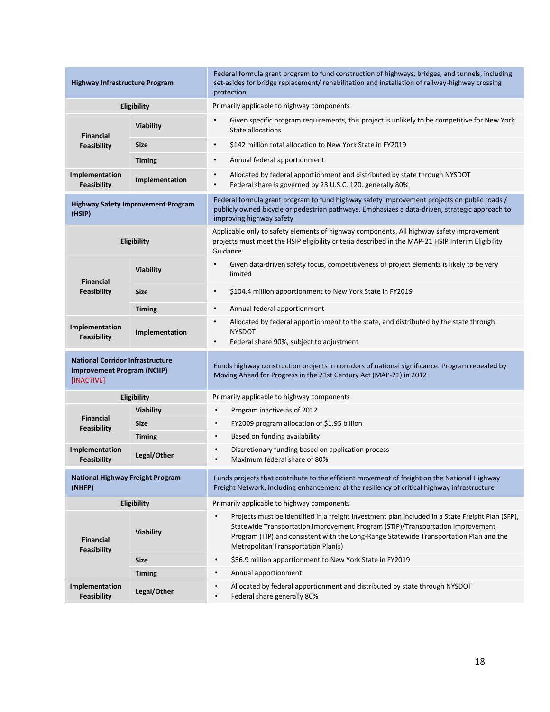| <b>Highway Infrastructure Program</b>                                                       |                                           | Federal formula grant program to fund construction of highways, bridges, and tunnels, including<br>set-asides for bridge replacement/ rehabilitation and installation of railway-highway crossing<br>protection                                                                                                     |
|---------------------------------------------------------------------------------------------|-------------------------------------------|---------------------------------------------------------------------------------------------------------------------------------------------------------------------------------------------------------------------------------------------------------------------------------------------------------------------|
| Eligibility                                                                                 |                                           | Primarily applicable to highway components                                                                                                                                                                                                                                                                          |
| <b>Financial</b>                                                                            | <b>Viability</b>                          | Given specific program requirements, this project is unlikely to be competitive for New York<br>State allocations                                                                                                                                                                                                   |
| <b>Feasibility</b>                                                                          | <b>Size</b>                               | \$142 million total allocation to New York State in FY2019<br>$\bullet$                                                                                                                                                                                                                                             |
|                                                                                             | <b>Timing</b>                             | Annual federal apportionment<br>$\bullet$                                                                                                                                                                                                                                                                           |
| Implementation<br>Feasibility                                                               | Implementation                            | Allocated by federal apportionment and distributed by state through NYSDOT<br>$\bullet$<br>Federal share is governed by 23 U.S.C. 120, generally 80%<br>$\bullet$                                                                                                                                                   |
| (HSIP)                                                                                      | <b>Highway Safety Improvement Program</b> | Federal formula grant program to fund highway safety improvement projects on public roads /<br>publicly owned bicycle or pedestrian pathways. Emphasizes a data-driven, strategic approach to<br>improving highway safety                                                                                           |
|                                                                                             | Eligibility                               | Applicable only to safety elements of highway components. All highway safety improvement<br>projects must meet the HSIP eligibility criteria described in the MAP-21 HSIP Interim Eligibility<br>Guidance                                                                                                           |
| <b>Financial</b>                                                                            | Viability                                 | Given data-driven safety focus, competitiveness of project elements is likely to be very<br>$\bullet$<br>limited                                                                                                                                                                                                    |
| Feasibility                                                                                 | <b>Size</b>                               | \$104.4 million apportionment to New York State in FY2019<br>$\bullet$                                                                                                                                                                                                                                              |
|                                                                                             | <b>Timing</b>                             | Annual federal apportionment<br>$\bullet$                                                                                                                                                                                                                                                                           |
| Implementation<br>Feasibility                                                               | Implementation                            | Allocated by federal apportionment to the state, and distributed by the state through<br>$\bullet$<br><b>NYSDOT</b><br>Federal share 90%, subject to adjustment<br>$\bullet$                                                                                                                                        |
| <b>National Corridor Infrastructure</b><br><b>Improvement Program (NCIIP)</b><br>[INACTIVE] |                                           | Funds highway construction projects in corridors of national significance. Program repealed by<br>Moving Ahead for Progress in the 21st Century Act (MAP-21) in 2012                                                                                                                                                |
| Eligibility                                                                                 |                                           | Primarily applicable to highway components                                                                                                                                                                                                                                                                          |
|                                                                                             | Viability                                 | Program inactive as of 2012<br>$\bullet$                                                                                                                                                                                                                                                                            |
| <b>Financial</b><br>Feasibility                                                             | <b>Size</b>                               | FY2009 program allocation of \$1.95 billion<br>$\bullet$                                                                                                                                                                                                                                                            |
|                                                                                             | <b>Timing</b>                             | Based on funding availability<br>$\bullet$                                                                                                                                                                                                                                                                          |
| Implementation<br>Feasibility                                                               | Legal/Other                               | Discretionary funding based on application process<br>Maximum federal share of 80%                                                                                                                                                                                                                                  |
| <b>National Highway Freight Program</b><br>(NHFP)                                           |                                           | Funds projects that contribute to the efficient movement of freight on the National Highway<br>Freight Network, including enhancement of the resiliency of critical highway infrastructure                                                                                                                          |
| Eligibility                                                                                 |                                           | Primarily applicable to highway components                                                                                                                                                                                                                                                                          |
| <b>Financial</b><br>Feasibility                                                             | Viability                                 | Projects must be identified in a freight investment plan included in a State Freight Plan (SFP),<br>Statewide Transportation Improvement Program (STIP)/Transportation Improvement<br>Program (TIP) and consistent with the Long-Range Statewide Transportation Plan and the<br>Metropolitan Transportation Plan(s) |
|                                                                                             | <b>Size</b>                               | \$56.9 million apportionment to New York State in FY2019<br>$\bullet$                                                                                                                                                                                                                                               |
|                                                                                             | <b>Timing</b>                             | Annual apportionment<br>$\bullet$                                                                                                                                                                                                                                                                                   |
| Implementation<br>Feasibility                                                               | Legal/Other                               | Allocated by federal apportionment and distributed by state through NYSDOT<br>$\bullet$<br>Federal share generally 80%<br>$\bullet$                                                                                                                                                                                 |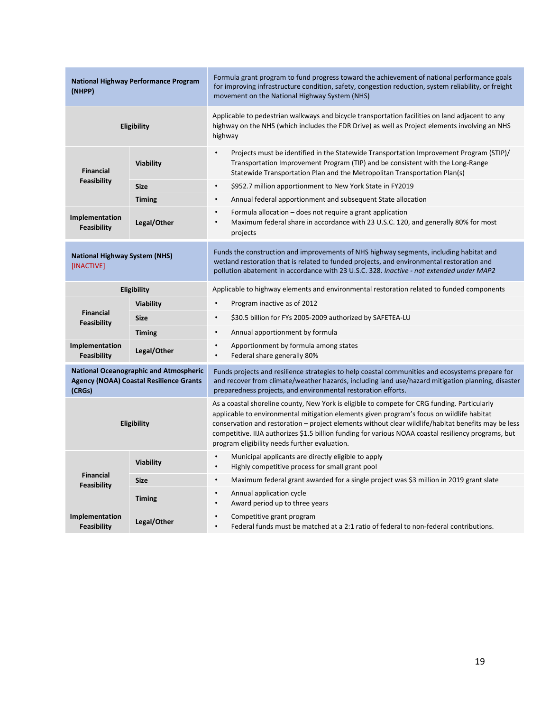| <b>National Highway Performance Program</b><br>(NHPP)                                                     |                  | Formula grant program to fund progress toward the achievement of national performance goals<br>for improving infrastructure condition, safety, congestion reduction, system reliability, or freight<br>movement on the National Highway System (NHS)                                                                                                                                                                                                      |
|-----------------------------------------------------------------------------------------------------------|------------------|-----------------------------------------------------------------------------------------------------------------------------------------------------------------------------------------------------------------------------------------------------------------------------------------------------------------------------------------------------------------------------------------------------------------------------------------------------------|
|                                                                                                           | Eligibility      | Applicable to pedestrian walkways and bicycle transportation facilities on land adjacent to any<br>highway on the NHS (which includes the FDR Drive) as well as Project elements involving an NHS<br>highway                                                                                                                                                                                                                                              |
| <b>Financial</b>                                                                                          | <b>Viability</b> | $\bullet$<br>Projects must be identified in the Statewide Transportation Improvement Program (STIP)/<br>Transportation Improvement Program (TIP) and be consistent with the Long-Range<br>Statewide Transportation Plan and the Metropolitan Transportation Plan(s)                                                                                                                                                                                       |
| <b>Feasibility</b>                                                                                        | <b>Size</b>      | \$952.7 million apportionment to New York State in FY2019<br>$\bullet$                                                                                                                                                                                                                                                                                                                                                                                    |
|                                                                                                           | <b>Timing</b>    | Annual federal apportionment and subsequent State allocation<br>$\bullet$                                                                                                                                                                                                                                                                                                                                                                                 |
| Implementation<br><b>Feasibility</b>                                                                      | Legal/Other      | Formula allocation – does not require a grant application<br>$\bullet$<br>Maximum federal share in accordance with 23 U.S.C. 120, and generally 80% for most<br>$\bullet$<br>projects                                                                                                                                                                                                                                                                     |
| <b>National Highway System (NHS)</b><br>[INACTIVE]                                                        |                  | Funds the construction and improvements of NHS highway segments, including habitat and<br>wetland restoration that is related to funded projects, and environmental restoration and<br>pollution abatement in accordance with 23 U.S.C. 328. Inactive - not extended under MAP2                                                                                                                                                                           |
| Eligibility                                                                                               |                  | Applicable to highway elements and environmental restoration related to funded components                                                                                                                                                                                                                                                                                                                                                                 |
|                                                                                                           | <b>Viability</b> | Program inactive as of 2012<br>$\bullet$                                                                                                                                                                                                                                                                                                                                                                                                                  |
| <b>Financial</b><br><b>Feasibility</b>                                                                    | <b>Size</b>      | \$30.5 billion for FYs 2005-2009 authorized by SAFETEA-LU<br>$\bullet$                                                                                                                                                                                                                                                                                                                                                                                    |
|                                                                                                           | <b>Timing</b>    | Annual apportionment by formula<br>$\bullet$                                                                                                                                                                                                                                                                                                                                                                                                              |
| Implementation<br>Legal/Other<br>Feasibility                                                              |                  | Apportionment by formula among states<br>$\bullet$<br>Federal share generally 80%<br>$\bullet$                                                                                                                                                                                                                                                                                                                                                            |
| <b>National Oceanographic and Atmospheric</b><br><b>Agency (NOAA) Coastal Resilience Grants</b><br>(CRGs) |                  | Funds projects and resilience strategies to help coastal communities and ecosystems prepare for<br>and recover from climate/weather hazards, including land use/hazard mitigation planning, disaster<br>preparedness projects, and environmental restoration efforts.                                                                                                                                                                                     |
| Eligibility                                                                                               |                  | As a coastal shoreline county, New York is eligible to compete for CRG funding. Particularly<br>applicable to environmental mitigation elements given program's focus on wildlife habitat<br>conservation and restoration - project elements without clear wildlife/habitat benefits may be less<br>competitive. IIJA authorizes \$1.5 billion funding for various NOAA coastal resiliency programs, but<br>program eligibility needs further evaluation. |
|                                                                                                           | Viability        | Municipal applicants are directly eligible to apply<br>$\bullet$<br>Highly competitive process for small grant pool<br>$\bullet$                                                                                                                                                                                                                                                                                                                          |
| <b>Financial</b><br><b>Feasibility</b>                                                                    | <b>Size</b>      | Maximum federal grant awarded for a single project was \$3 million in 2019 grant slate<br>$\bullet$                                                                                                                                                                                                                                                                                                                                                       |
|                                                                                                           | <b>Timing</b>    | Annual application cycle<br>$\bullet$<br>Award period up to three years<br>$\bullet$                                                                                                                                                                                                                                                                                                                                                                      |
| Implementation<br>Feasibility                                                                             | Legal/Other      | $\bullet$<br>Competitive grant program<br>Federal funds must be matched at a 2:1 ratio of federal to non-federal contributions.                                                                                                                                                                                                                                                                                                                           |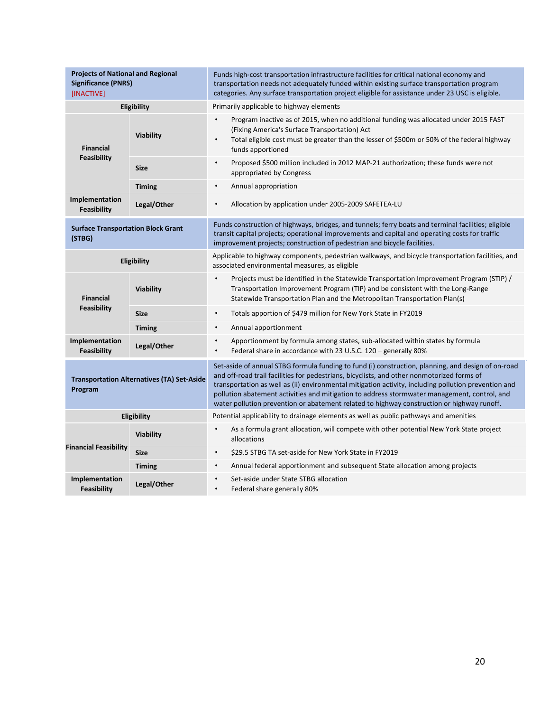| <b>Projects of National and Regional</b><br><b>Significance (PNRS)</b><br>[INACTIVE] |                  | Funds high-cost transportation infrastructure facilities for critical national economy and<br>transportation needs not adequately funded within existing surface transportation program<br>categories. Any surface transportation project eligible for assistance under 23 USC is eligible.                                                                                                                                                                                                            |
|--------------------------------------------------------------------------------------|------------------|--------------------------------------------------------------------------------------------------------------------------------------------------------------------------------------------------------------------------------------------------------------------------------------------------------------------------------------------------------------------------------------------------------------------------------------------------------------------------------------------------------|
| Eligibility                                                                          |                  | Primarily applicable to highway elements                                                                                                                                                                                                                                                                                                                                                                                                                                                               |
| <b>Financial</b>                                                                     | <b>Viability</b> | Program inactive as of 2015, when no additional funding was allocated under 2015 FAST<br>$\bullet$<br>(Fixing America's Surface Transportation) Act<br>Total eligible cost must be greater than the lesser of \$500m or 50% of the federal highway<br>$\bullet$<br>funds apportioned                                                                                                                                                                                                                   |
| Feasibility                                                                          | <b>Size</b>      | $\bullet$<br>Proposed \$500 million included in 2012 MAP-21 authorization; these funds were not<br>appropriated by Congress                                                                                                                                                                                                                                                                                                                                                                            |
|                                                                                      | <b>Timing</b>    | $\bullet$<br>Annual appropriation                                                                                                                                                                                                                                                                                                                                                                                                                                                                      |
| Implementation<br><b>Feasibility</b>                                                 | Legal/Other      | Allocation by application under 2005-2009 SAFETEA-LU<br>$\bullet$                                                                                                                                                                                                                                                                                                                                                                                                                                      |
| <b>Surface Transportation Block Grant</b><br>(STBG)                                  |                  | Funds construction of highways, bridges, and tunnels; ferry boats and terminal facilities; eligible<br>transit capital projects; operational improvements and capital and operating costs for traffic<br>improvement projects; construction of pedestrian and bicycle facilities.                                                                                                                                                                                                                      |
| <b>Eligibility</b>                                                                   |                  | Applicable to highway components, pedestrian walkways, and bicycle transportation facilities, and<br>associated environmental measures, as eligible                                                                                                                                                                                                                                                                                                                                                    |
| <b>Financial</b>                                                                     | <b>Viability</b> | Projects must be identified in the Statewide Transportation Improvement Program (STIP) /<br>$\bullet$<br>Transportation Improvement Program (TIP) and be consistent with the Long-Range<br>Statewide Transportation Plan and the Metropolitan Transportation Plan(s)                                                                                                                                                                                                                                   |
| <b>Feasibility</b>                                                                   | <b>Size</b>      | Totals apportion of \$479 million for New York State in FY2019<br>$\bullet$                                                                                                                                                                                                                                                                                                                                                                                                                            |
|                                                                                      | <b>Timing</b>    | Annual apportionment<br>$\bullet$                                                                                                                                                                                                                                                                                                                                                                                                                                                                      |
| Implementation<br>Feasibility                                                        | Legal/Other      | Apportionment by formula among states, sub-allocated within states by formula<br>$\bullet$<br>$\bullet$<br>Federal share in accordance with 23 U.S.C. 120 - generally 80%                                                                                                                                                                                                                                                                                                                              |
| <b>Transportation Alternatives (TA) Set-Aside</b><br>Program                         |                  | Set-aside of annual STBG formula funding to fund (i) construction, planning, and design of on-road<br>and off-road trail facilities for pedestrians, bicyclists, and other nonmotorized forms of<br>transportation as well as (ii) environmental mitigation activity, including pollution prevention and<br>pollution abatement activities and mitigation to address stormwater management, control, and<br>water pollution prevention or abatement related to highway construction or highway runoff. |
| Eligibility                                                                          |                  | Potential applicability to drainage elements as well as public pathways and amenities                                                                                                                                                                                                                                                                                                                                                                                                                  |
|                                                                                      | <b>Viability</b> | As a formula grant allocation, will compete with other potential New York State project<br>$\bullet$<br>allocations                                                                                                                                                                                                                                                                                                                                                                                    |
| <b>Financial Feasibility</b>                                                         | <b>Size</b>      | \$29.5 STBG TA set-aside for New York State in FY2019<br>$\bullet$                                                                                                                                                                                                                                                                                                                                                                                                                                     |
|                                                                                      | <b>Timing</b>    | Annual federal apportionment and subsequent State allocation among projects<br>$\bullet$                                                                                                                                                                                                                                                                                                                                                                                                               |
| Implementation<br>Feasibility                                                        | Legal/Other      | Set-aside under State STBG allocation<br>$\bullet$<br>Federal share generally 80%<br>$\bullet$                                                                                                                                                                                                                                                                                                                                                                                                         |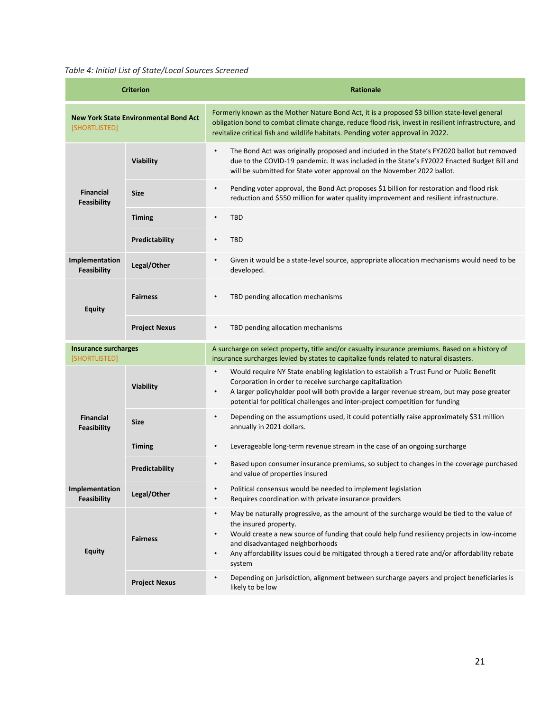### <span id="page-20-0"></span>*Table 4: Initial List of State/Local Sources Screened*

| <b>Criterion</b>                                              |                      | <b>Rationale</b>                                                                                                                                                                                                                                                                                                                                                                                        |
|---------------------------------------------------------------|----------------------|---------------------------------------------------------------------------------------------------------------------------------------------------------------------------------------------------------------------------------------------------------------------------------------------------------------------------------------------------------------------------------------------------------|
| <b>New York State Environmental Bond Act</b><br>[SHORTLISTED] |                      | Formerly known as the Mother Nature Bond Act, it is a proposed \$3 billion state-level general<br>obligation bond to combat climate change, reduce flood risk, invest in resilient infrastructure, and<br>revitalize critical fish and wildlife habitats. Pending voter approval in 2022.                                                                                                               |
|                                                               | <b>Viability</b>     | $\bullet$<br>The Bond Act was originally proposed and included in the State's FY2020 ballot but removed<br>due to the COVID-19 pandemic. It was included in the State's FY2022 Enacted Budget Bill and<br>will be submitted for State voter approval on the November 2022 ballot.                                                                                                                       |
| <b>Financial</b><br>Feasibility                               | <b>Size</b>          | Pending voter approval, the Bond Act proposes \$1 billion for restoration and flood risk<br>$\bullet$<br>reduction and \$550 million for water quality improvement and resilient infrastructure.                                                                                                                                                                                                        |
|                                                               | <b>Timing</b>        | <b>TBD</b><br>$\bullet$                                                                                                                                                                                                                                                                                                                                                                                 |
|                                                               | Predictability       | <b>TBD</b><br>$\bullet$                                                                                                                                                                                                                                                                                                                                                                                 |
| Implementation<br><b>Feasibility</b>                          | Legal/Other          | Given it would be a state-level source, appropriate allocation mechanisms would need to be<br>$\bullet$<br>developed.                                                                                                                                                                                                                                                                                   |
| <b>Equity</b>                                                 | <b>Fairness</b>      | TBD pending allocation mechanisms<br>$\bullet$                                                                                                                                                                                                                                                                                                                                                          |
|                                                               | <b>Project Nexus</b> | TBD pending allocation mechanisms<br>$\bullet$                                                                                                                                                                                                                                                                                                                                                          |
| <b>Insurance surcharges</b><br>[SHORTLISTED]                  |                      | A surcharge on select property, title and/or casualty insurance premiums. Based on a history of<br>insurance surcharges levied by states to capitalize funds related to natural disasters.                                                                                                                                                                                                              |
|                                                               | <b>Viability</b>     | Would require NY State enabling legislation to establish a Trust Fund or Public Benefit<br>$\bullet$<br>Corporation in order to receive surcharge capitalization<br>A larger policyholder pool will both provide a larger revenue stream, but may pose greater<br>$\bullet$<br>potential for political challenges and inter-project competition for funding                                             |
| <b>Financial</b><br>Feasibility                               | <b>Size</b>          | Depending on the assumptions used, it could potentially raise approximately \$31 million<br>$\bullet$<br>annually in 2021 dollars.                                                                                                                                                                                                                                                                      |
|                                                               | <b>Timing</b>        | Leverageable long-term revenue stream in the case of an ongoing surcharge<br>$\bullet$                                                                                                                                                                                                                                                                                                                  |
|                                                               | Predictability       | Based upon consumer insurance premiums, so subject to changes in the coverage purchased<br>and value of properties insured                                                                                                                                                                                                                                                                              |
| Implementation<br>Feasibility                                 | Legal/Other          | Political consensus would be needed to implement legislation<br>$\bullet$<br>Requires coordination with private insurance providers<br>$\bullet$                                                                                                                                                                                                                                                        |
| <b>Equity</b>                                                 | <b>Fairness</b>      | May be naturally progressive, as the amount of the surcharge would be tied to the value of<br>$\bullet$<br>the insured property.<br>Would create a new source of funding that could help fund resiliency projects in low-income<br>$\bullet$<br>and disadvantaged neighborhoods<br>Any affordability issues could be mitigated through a tiered rate and/or affordability rebate<br>$\bullet$<br>system |
|                                                               | <b>Project Nexus</b> | Depending on jurisdiction, alignment between surcharge payers and project beneficiaries is<br>$\bullet$<br>likely to be low                                                                                                                                                                                                                                                                             |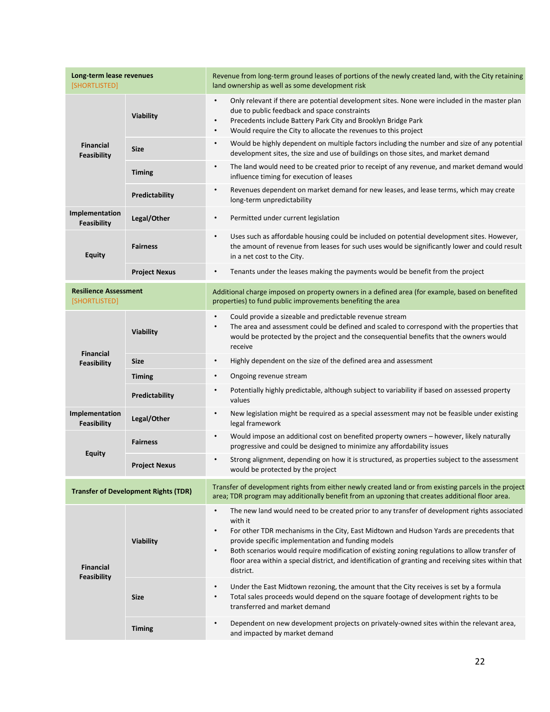| Long-term lease revenues<br>[SHORTLISTED]     |                      | Revenue from long-term ground leases of portions of the newly created land, with the City retaining<br>land ownership as well as some development risk                                                                                                                                                                                                                                                                                                                                                                |
|-----------------------------------------------|----------------------|-----------------------------------------------------------------------------------------------------------------------------------------------------------------------------------------------------------------------------------------------------------------------------------------------------------------------------------------------------------------------------------------------------------------------------------------------------------------------------------------------------------------------|
| Financial<br>Feasibility                      | Viability            | Only relevant if there are potential development sites. None were included in the master plan<br>$\bullet$<br>due to public feedback and space constraints<br>Precedents include Battery Park City and Brooklyn Bridge Park<br>$\bullet$<br>Would require the City to allocate the revenues to this project<br>$\bullet$                                                                                                                                                                                              |
|                                               | <b>Size</b>          | Would be highly dependent on multiple factors including the number and size of any potential<br>$\bullet$<br>development sites, the size and use of buildings on those sites, and market demand                                                                                                                                                                                                                                                                                                                       |
|                                               | <b>Timing</b>        | The land would need to be created prior to receipt of any revenue, and market demand would<br>$\bullet$<br>influence timing for execution of leases                                                                                                                                                                                                                                                                                                                                                                   |
|                                               | Predictability       | Revenues dependent on market demand for new leases, and lease terms, which may create<br>$\bullet$<br>long-term unpredictability                                                                                                                                                                                                                                                                                                                                                                                      |
| Implementation<br>Feasibility                 | Legal/Other          | Permitted under current legislation<br>$\bullet$                                                                                                                                                                                                                                                                                                                                                                                                                                                                      |
| <b>Equity</b>                                 | <b>Fairness</b>      | Uses such as affordable housing could be included on potential development sites. However,<br>$\bullet$<br>the amount of revenue from leases for such uses would be significantly lower and could result<br>in a net cost to the City.                                                                                                                                                                                                                                                                                |
|                                               | <b>Project Nexus</b> | Tenants under the leases making the payments would be benefit from the project<br>$\bullet$                                                                                                                                                                                                                                                                                                                                                                                                                           |
| <b>Resilience Assessment</b><br>[SHORTLISTED] |                      | Additional charge imposed on property owners in a defined area (for example, based on benefited<br>properties) to fund public improvements benefiting the area                                                                                                                                                                                                                                                                                                                                                        |
|                                               | Viability            | Could provide a sizeable and predictable revenue stream<br>$\bullet$<br>The area and assessment could be defined and scaled to correspond with the properties that<br>$\bullet$<br>would be protected by the project and the consequential benefits that the owners would<br>receive                                                                                                                                                                                                                                  |
| <b>Financial</b><br><b>Feasibility</b>        | <b>Size</b>          | Highly dependent on the size of the defined area and assessment<br>$\bullet$                                                                                                                                                                                                                                                                                                                                                                                                                                          |
|                                               | <b>Timing</b>        | Ongoing revenue stream<br>$\bullet$                                                                                                                                                                                                                                                                                                                                                                                                                                                                                   |
|                                               | Predictability       | Potentially highly predictable, although subject to variability if based on assessed property<br>$\bullet$<br>values                                                                                                                                                                                                                                                                                                                                                                                                  |
| Implementation<br>Feasibility                 | Legal/Other          | New legislation might be required as a special assessment may not be feasible under existing<br>$\bullet$<br>legal framework                                                                                                                                                                                                                                                                                                                                                                                          |
| <b>Equity</b>                                 | <b>Fairness</b>      | Would impose an additional cost on benefited property owners - however, likely naturally<br>$\bullet$<br>progressive and could be designed to minimize any affordability issues                                                                                                                                                                                                                                                                                                                                       |
|                                               | <b>Project Nexus</b> | Strong alignment, depending on how it is structured, as properties subject to the assessment<br>$\bullet$<br>would be protected by the project                                                                                                                                                                                                                                                                                                                                                                        |
| <b>Transfer of Development Rights (TDR)</b>   |                      | Transfer of development rights from either newly created land or from existing parcels in the project<br>area; TDR program may additionally benefit from an upzoning that creates additional floor area.                                                                                                                                                                                                                                                                                                              |
| <b>Financial</b><br><b>Feasibility</b>        | Viability            | The new land would need to be created prior to any transfer of development rights associated<br>$\bullet$<br>with it<br>For other TDR mechanisms in the City, East Midtown and Hudson Yards are precedents that<br>$\bullet$<br>provide specific implementation and funding models<br>Both scenarios would require modification of existing zoning regulations to allow transfer of<br>$\bullet$<br>floor area within a special district, and identification of granting and receiving sites within that<br>district. |
|                                               | <b>Size</b>          | Under the East Midtown rezoning, the amount that the City receives is set by a formula<br>$\bullet$<br>Total sales proceeds would depend on the square footage of development rights to be<br>$\bullet$<br>transferred and market demand                                                                                                                                                                                                                                                                              |
|                                               | <b>Timing</b>        | Dependent on new development projects on privately-owned sites within the relevant area,<br>$\bullet$<br>and impacted by market demand                                                                                                                                                                                                                                                                                                                                                                                |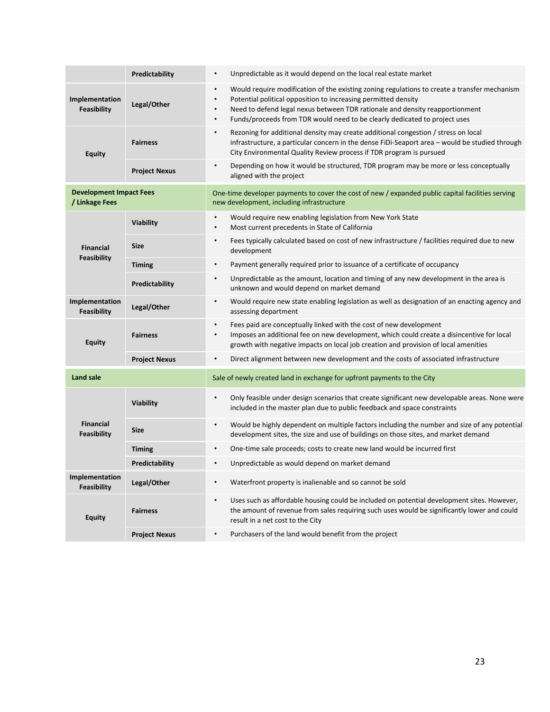|                                                  | Predictability       | Unpredictable as it would depend on the local real estate market<br>$\bullet$                                                                                                                                                                                                                                                                                                    |
|--------------------------------------------------|----------------------|----------------------------------------------------------------------------------------------------------------------------------------------------------------------------------------------------------------------------------------------------------------------------------------------------------------------------------------------------------------------------------|
| Implementation<br><b>Feasibility</b>             | Legal/Other          | Would require modification of the existing zoning regulations to create a transfer mechanism<br>$\bullet$<br>Potential political opposition to increasing permitted density<br>$\bullet$<br>Need to defend legal nexus between TDR rationale and density reapportionment<br>$\bullet$<br>Funds/proceeds from TDR would need to be clearly dedicated to project uses<br>$\bullet$ |
| <b>Equity</b>                                    | <b>Fairness</b>      | Rezoning for additional density may create additional congestion / stress on local<br>$\bullet$<br>infrastructure, a particular concern in the dense FiDi-Seaport area - would be studied through<br>City Environmental Quality Review process if TDR program is pursued                                                                                                         |
|                                                  | <b>Project Nexus</b> | $\bullet$<br>Depending on how it would be structured, TDR program may be more or less conceptually<br>aligned with the project                                                                                                                                                                                                                                                   |
| <b>Development Impact Fees</b><br>/ Linkage Fees |                      | One-time developer payments to cover the cost of new / expanded public capital facilities serving<br>new development, including infrastructure                                                                                                                                                                                                                                   |
| <b>Financial</b>                                 | <b>Viability</b>     | Would require new enabling legislation from New York State<br>$\bullet$<br>Most current precedents in State of California<br>$\bullet$                                                                                                                                                                                                                                           |
|                                                  | <b>Size</b>          | Fees typically calculated based on cost of new infrastructure / facilities required due to new<br>$\bullet$<br>development                                                                                                                                                                                                                                                       |
| Feasibility                                      | <b>Timing</b>        | $\bullet$<br>Payment generally required prior to issuance of a certificate of occupancy                                                                                                                                                                                                                                                                                          |
|                                                  | Predictability       | Unpredictable as the amount, location and timing of any new development in the area is<br>$\bullet$<br>unknown and would depend on market demand                                                                                                                                                                                                                                 |
| Implementation<br>Feasibility                    | Legal/Other          | Would require new state enabling legislation as well as designation of an enacting agency and<br>$\bullet$<br>assessing department                                                                                                                                                                                                                                               |
| <b>Equity</b>                                    | <b>Fairness</b>      | Fees paid are conceptually linked with the cost of new development<br>$\bullet$<br>Imposes an additional fee on new development, which could create a disincentive for local<br>$\bullet$<br>growth with negative impacts on local job creation and provision of local amenities                                                                                                 |
|                                                  | <b>Project Nexus</b> | $\bullet$<br>Direct alignment between new development and the costs of associated infrastructure                                                                                                                                                                                                                                                                                 |
| <b>Land sale</b>                                 |                      | Sale of newly created land in exchange for upfront payments to the City                                                                                                                                                                                                                                                                                                          |
| <b>Financial</b><br>Feasibility                  | Viability            | $\bullet$<br>Only feasible under design scenarios that create significant new developable areas. None were<br>included in the master plan due to public feedback and space constraints                                                                                                                                                                                           |
|                                                  | <b>Size</b>          | Would be highly dependent on multiple factors including the number and size of any potential<br>$\bullet$<br>development sites, the size and use of buildings on those sites, and market demand                                                                                                                                                                                  |
|                                                  | <b>Timing</b>        | $\bullet$<br>One-time sale proceeds; costs to create new land would be incurred first                                                                                                                                                                                                                                                                                            |
|                                                  | Predictability       | Unpredictable as would depend on market demand<br>$\bullet$                                                                                                                                                                                                                                                                                                                      |
| Implementation<br><b>Feasibility</b>             | Legal/Other          | Waterfront property is inalienable and so cannot be sold<br>$\bullet$                                                                                                                                                                                                                                                                                                            |
| <b>Equity</b>                                    | <b>Fairness</b>      | Uses such as affordable housing could be included on potential development sites. However,<br>$\bullet$<br>the amount of revenue from sales requiring such uses would be significantly lower and could<br>result in a net cost to the City                                                                                                                                       |
|                                                  | <b>Project Nexus</b> | $\bullet$<br>Purchasers of the land would benefit from the project                                                                                                                                                                                                                                                                                                               |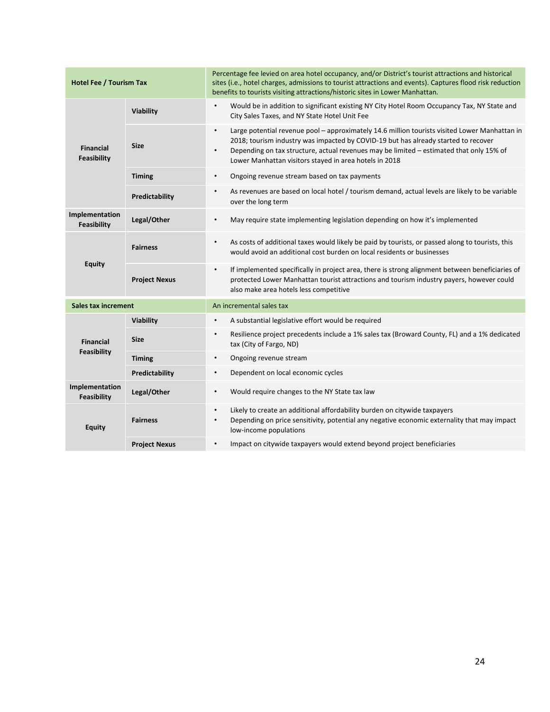| <b>Hotel Fee / Tourism Tax</b>       |                       | Percentage fee levied on area hotel occupancy, and/or District's tourist attractions and historical<br>sites (i.e., hotel charges, admissions to tourist attractions and events). Captures flood risk reduction<br>benefits to tourists visiting attractions/historic sites in Lower Manhattan.                                                                    |
|--------------------------------------|-----------------------|--------------------------------------------------------------------------------------------------------------------------------------------------------------------------------------------------------------------------------------------------------------------------------------------------------------------------------------------------------------------|
| <b>Financial</b><br>Feasibility      | Viability             | Would be in addition to significant existing NY City Hotel Room Occupancy Tax, NY State and<br>$\bullet$<br>City Sales Taxes, and NY State Hotel Unit Fee                                                                                                                                                                                                          |
|                                      | <b>Size</b>           | Large potential revenue pool - approximately 14.6 million tourists visited Lower Manhattan in<br>$\bullet$<br>2018; tourism industry was impacted by COVID-19 but has already started to recover<br>Depending on tax structure, actual revenues may be limited - estimated that only 15% of<br>$\bullet$<br>Lower Manhattan visitors stayed in area hotels in 2018 |
|                                      | <b>Timing</b>         | Ongoing revenue stream based on tax payments<br>$\bullet$                                                                                                                                                                                                                                                                                                          |
|                                      | Predictability        | As revenues are based on local hotel / tourism demand, actual levels are likely to be variable<br>$\bullet$<br>over the long term                                                                                                                                                                                                                                  |
| Implementation<br>Feasibility        | Legal/Other           | May require state implementing legislation depending on how it's implemented<br>$\bullet$                                                                                                                                                                                                                                                                          |
| Equity                               | <b>Fairness</b>       | As costs of additional taxes would likely be paid by tourists, or passed along to tourists, this<br>$\bullet$<br>would avoid an additional cost burden on local residents or businesses                                                                                                                                                                            |
|                                      | <b>Project Nexus</b>  | If implemented specifically in project area, there is strong alignment between beneficiaries of<br>$\bullet$<br>protected Lower Manhattan tourist attractions and tourism industry payers, however could<br>also make area hotels less competitive                                                                                                                 |
| <b>Sales tax increment</b>           |                       | An incremental sales tax                                                                                                                                                                                                                                                                                                                                           |
| <b>Financial</b>                     | Viability             | A substantial legislative effort would be required<br>$\bullet$                                                                                                                                                                                                                                                                                                    |
|                                      | <b>Size</b>           | Resilience project precedents include a 1% sales tax (Broward County, FL) and a 1% dedicated<br>$\bullet$<br>tax (City of Fargo, ND)                                                                                                                                                                                                                               |
| Feasibility                          | <b>Timing</b>         | Ongoing revenue stream<br>$\bullet$                                                                                                                                                                                                                                                                                                                                |
|                                      | <b>Predictability</b> | Dependent on local economic cycles<br>$\bullet$                                                                                                                                                                                                                                                                                                                    |
| Implementation<br><b>Feasibility</b> | Legal/Other           | Would require changes to the NY State tax law<br>$\bullet$                                                                                                                                                                                                                                                                                                         |
| <b>Equity</b>                        | <b>Fairness</b>       | Likely to create an additional affordability burden on citywide taxpayers<br>$\bullet$<br>Depending on price sensitivity, potential any negative economic externality that may impact<br>$\bullet$<br>low-income populations                                                                                                                                       |
|                                      | <b>Project Nexus</b>  | Impact on citywide taxpayers would extend beyond project beneficiaries<br>$\bullet$                                                                                                                                                                                                                                                                                |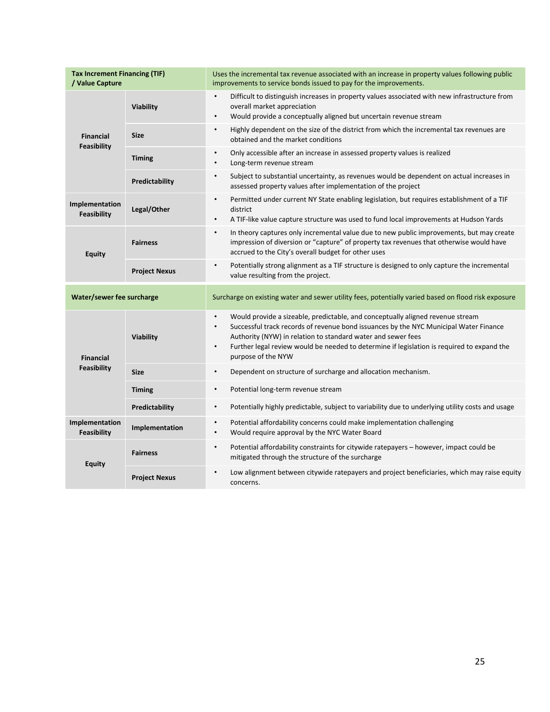| <b>Tax Increment Financing (TIF)</b><br>/ Value Capture |                      | Uses the incremental tax revenue associated with an increase in property values following public<br>improvements to service bonds issued to pay for the improvements.                                                                                                                                                                                                                              |
|---------------------------------------------------------|----------------------|----------------------------------------------------------------------------------------------------------------------------------------------------------------------------------------------------------------------------------------------------------------------------------------------------------------------------------------------------------------------------------------------------|
| <b>Financial</b><br>Feasibility                         | Viability            | Difficult to distinguish increases in property values associated with new infrastructure from<br>$\bullet$<br>overall market appreciation<br>Would provide a conceptually aligned but uncertain revenue stream<br>$\bullet$                                                                                                                                                                        |
|                                                         | <b>Size</b>          | Highly dependent on the size of the district from which the incremental tax revenues are<br>$\bullet$<br>obtained and the market conditions                                                                                                                                                                                                                                                        |
|                                                         | <b>Timing</b>        | $\bullet$<br>Only accessible after an increase in assessed property values is realized<br>Long-term revenue stream<br>٠                                                                                                                                                                                                                                                                            |
|                                                         | Predictability       | Subject to substantial uncertainty, as revenues would be dependent on actual increases in<br>$\bullet$<br>assessed property values after implementation of the project                                                                                                                                                                                                                             |
| Implementation<br><b>Feasibility</b>                    | Legal/Other          | Permitted under current NY State enabling legislation, but requires establishment of a TIF<br>$\bullet$<br>district<br>A TIF-like value capture structure was used to fund local improvements at Hudson Yards<br>$\bullet$                                                                                                                                                                         |
| <b>Equity</b>                                           | <b>Fairness</b>      | In theory captures only incremental value due to new public improvements, but may create<br>$\bullet$<br>impression of diversion or "capture" of property tax revenues that otherwise would have<br>accrued to the City's overall budget for other uses                                                                                                                                            |
|                                                         | <b>Project Nexus</b> | $\bullet$<br>Potentially strong alignment as a TIF structure is designed to only capture the incremental<br>value resulting from the project.                                                                                                                                                                                                                                                      |
| Water/sewer fee surcharge                               |                      | Surcharge on existing water and sewer utility fees, potentially varied based on flood risk exposure                                                                                                                                                                                                                                                                                                |
| <b>Financial</b><br>Feasibility                         | Viability            | Would provide a sizeable, predictable, and conceptually aligned revenue stream<br>$\bullet$<br>Successful track records of revenue bond issuances by the NYC Municipal Water Finance<br>$\bullet$<br>Authority (NYW) in relation to standard water and sewer fees<br>Further legal review would be needed to determine if legislation is required to expand the<br>$\bullet$<br>purpose of the NYW |
|                                                         | <b>Size</b>          | Dependent on structure of surcharge and allocation mechanism.<br>$\bullet$                                                                                                                                                                                                                                                                                                                         |
|                                                         | <b>Timing</b>        | $\bullet$<br>Potential long-term revenue stream                                                                                                                                                                                                                                                                                                                                                    |
|                                                         | Predictability       | Potentially highly predictable, subject to variability due to underlying utility costs and usage<br>$\bullet$                                                                                                                                                                                                                                                                                      |
| Implementation<br><b>Feasibility</b>                    | Implementation       | Potential affordability concerns could make implementation challenging<br>$\bullet$<br>Would require approval by the NYC Water Board<br>$\bullet$                                                                                                                                                                                                                                                  |
| <b>Equity</b>                                           | <b>Fairness</b>      | Potential affordability constraints for citywide ratepayers - however, impact could be<br>$\bullet$<br>mitigated through the structure of the surcharge                                                                                                                                                                                                                                            |
|                                                         | <b>Project Nexus</b> | Low alignment between citywide ratepayers and project beneficiaries, which may raise equity<br>$\bullet$<br>concerns.                                                                                                                                                                                                                                                                              |